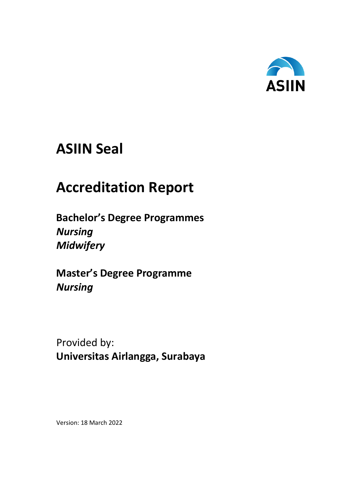

# **ASIIN Seal**

# **Accreditation Report**

**Bachelor's Degree Programmes** *Nursing Midwifery* 

**Master's Degree Programme** *Nursing*

Provided by: **Universitas Airlangga, Surabaya**

Version: 18 March 2022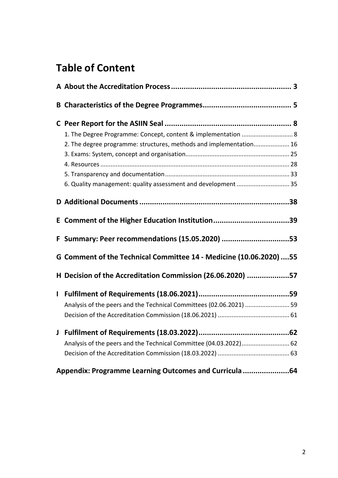# **Table of Content**

|   | 1. The Degree Programme: Concept, content & implementation  8       |  |
|---|---------------------------------------------------------------------|--|
|   | 2. The degree programme: structures, methods and implementation 16  |  |
|   |                                                                     |  |
|   |                                                                     |  |
|   |                                                                     |  |
|   | 6. Quality management: quality assessment and development  35       |  |
|   |                                                                     |  |
|   | E Comment of the Higher Education Institution39                     |  |
|   | F Summary: Peer recommendations (15.05.2020) 53                     |  |
|   | G Comment of the Technical Committee 14 - Medicine (10.06.2020)  55 |  |
|   | H Decision of the Accreditation Commission (26.06.2020) 57          |  |
| I |                                                                     |  |
|   | Analysis of the peers and the Technical Committees (02.06.2021)  59 |  |
|   |                                                                     |  |
| J |                                                                     |  |
|   | Analysis of the peers and the Technical Committee (04.03.2022) 62   |  |
|   |                                                                     |  |
|   | Appendix: Programme Learning Outcomes and Curricula64               |  |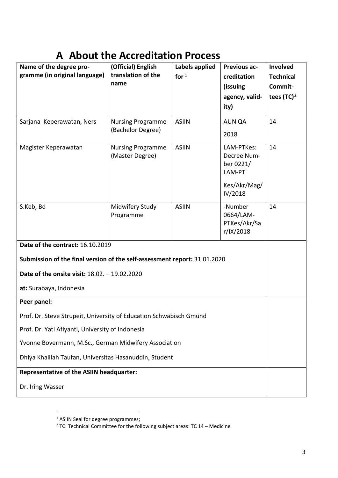# <span id="page-2-0"></span>**A About the Accreditation Process**

| Name of the degree pro-                                                   | (Official) English         | Labels applied | <b>Previous ac-</b>       | Involved         |  |  |
|---------------------------------------------------------------------------|----------------------------|----------------|---------------------------|------------------|--|--|
| gramme (in original language)                                             | translation of the<br>name | for $1$        | creditation               | <b>Technical</b> |  |  |
|                                                                           |                            |                | (issuing                  | Commit-          |  |  |
|                                                                           |                            |                | agency, valid-            | tees $(TC)^2$    |  |  |
|                                                                           |                            |                | ity)                      |                  |  |  |
| Sarjana Keperawatan, Ners                                                 | <b>Nursing Programme</b>   | <b>ASIIN</b>   | <b>AUN QA</b>             | 14               |  |  |
|                                                                           | (Bachelor Degree)          |                | 2018                      |                  |  |  |
| Magister Keperawatan                                                      | <b>Nursing Programme</b>   | <b>ASIIN</b>   | LAM-PTKes:                | 14               |  |  |
|                                                                           | (Master Degree)            |                | Decree Num-               |                  |  |  |
|                                                                           |                            |                | ber 0221/<br>LAM-PT       |                  |  |  |
|                                                                           |                            |                | Kes/Akr/Mag/              |                  |  |  |
|                                                                           |                            |                | IV/2018                   |                  |  |  |
| S.Keb, Bd                                                                 | Midwifery Study            | <b>ASIIN</b>   | -Number                   | 14               |  |  |
|                                                                           | Programme                  |                | 0664/LAM-                 |                  |  |  |
|                                                                           |                            |                | PTKes/Akr/Sa<br>r/IX/2018 |                  |  |  |
| Date of the contract: 16.10.2019                                          |                            |                |                           |                  |  |  |
|                                                                           |                            |                |                           |                  |  |  |
| Submission of the final version of the self-assessment report: 31.01.2020 |                            |                |                           |                  |  |  |
| Date of the onsite visit: 18.02. - 19.02.2020                             |                            |                |                           |                  |  |  |
| at: Surabaya, Indonesia                                                   |                            |                |                           |                  |  |  |
| Peer panel:                                                               |                            |                |                           |                  |  |  |
| Prof. Dr. Steve Strupeit, University of Education Schwäbisch Gmünd        |                            |                |                           |                  |  |  |
| Prof. Dr. Yati Afiyanti, University of Indonesia                          |                            |                |                           |                  |  |  |
| Yvonne Bovermann, M.Sc., German Midwifery Association                     |                            |                |                           |                  |  |  |
| Dhiya Khalilah Taufan, Universitas Hasanuddin, Student                    |                            |                |                           |                  |  |  |
| <b>Representative of the ASIIN headquarter:</b>                           |                            |                |                           |                  |  |  |
| Dr. Iring Wasser                                                          |                            |                |                           |                  |  |  |

<span id="page-2-2"></span><span id="page-2-1"></span><sup>&</sup>lt;sup>1</sup> ASIIN Seal for degree programmes;

 $\overline{a}$ 

<sup>&</sup>lt;sup>2</sup> TC: Technical Committee for the following subject areas: TC 14 – Medicine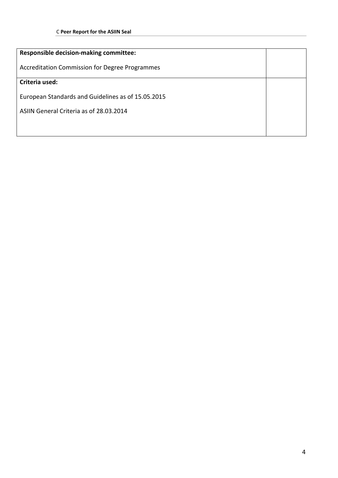| <b>Responsible decision-making committee:</b>         |  |  |  |
|-------------------------------------------------------|--|--|--|
| <b>Accreditation Commission for Degree Programmes</b> |  |  |  |
| Criteria used:                                        |  |  |  |
| European Standards and Guidelines as of 15.05.2015    |  |  |  |
| ASIIN General Criteria as of 28.03.2014               |  |  |  |
|                                                       |  |  |  |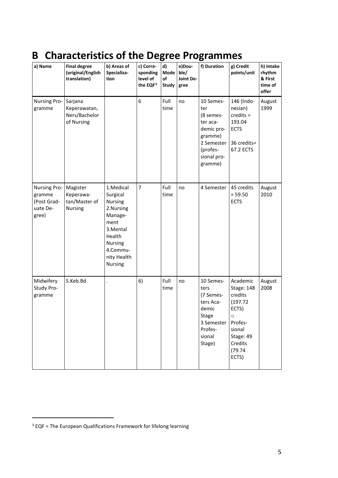# <span id="page-4-0"></span>**B Characteristics of the Degree Programmes**

| a) Name                                                           | <b>Final degree</b><br>(original/English<br>translation) | b) Areas of<br>Specializa-<br>tion                                                                                                      | c) Corre-<br>sponding<br>level of<br>the EQF <sup>3</sup> | d)<br>Mode<br>of<br>Study | e)Dou-<br>ble/<br>Joint De-<br>gree | f) Duration                                                                                                            | g) Credit<br>points/unit                                                                                                            | h) Intake<br>rhythm<br>& First<br>time of<br>offer |
|-------------------------------------------------------------------|----------------------------------------------------------|-----------------------------------------------------------------------------------------------------------------------------------------|-----------------------------------------------------------|---------------------------|-------------------------------------|------------------------------------------------------------------------------------------------------------------------|-------------------------------------------------------------------------------------------------------------------------------------|----------------------------------------------------|
| Nursing Pro-<br>gramme                                            | Sarjana<br>Keperawatan,<br>Ners/Bachelor<br>of Nursing   |                                                                                                                                         | 6                                                         | Full<br>time              | no                                  | 10 Semes-<br>ter<br>(8 semes-<br>ter aca-<br>demic pro-<br>gramme)<br>2 Semester<br>(profes-<br>sional pro-<br>gramme) | 146 (Indo-<br>nesian)<br>$c$ redits =<br>193.04<br><b>ECTS</b><br>36 credits=<br>67.2 ECTS                                          | August<br>1999                                     |
| <b>Nursing Pro-</b><br>gramme<br>(Post Grad-<br>uate De-<br>gree) | Magister<br>Keperawa-<br>tan/Master of<br><b>Nursing</b> | 1.Medical<br>Surgical<br>Nursing<br>2.Nursing<br>Manage-<br>ment<br>3.Mental<br>Health<br>Nursing<br>4.Commu-<br>nity Health<br>Nursing | $\overline{7}$                                            | Full<br>time              | no                                  | 4 Semester                                                                                                             | 45 credits<br>$= 59.50$<br><b>ECTS</b>                                                                                              | August<br>2010                                     |
| Midwifery<br>Study Pro-<br>gramme                                 | S.Keb.Bd                                                 |                                                                                                                                         | 6)                                                        | Full<br>time              | no                                  | 10 Semes-<br>ters<br>(7 Semes-<br>ters Aca-<br>demic<br>Stage<br>3 Semester<br>Profes-<br>sional<br>Stage)             | Academic<br><b>Stage: 148</b><br>credits<br>(197.72)<br>ECTS)<br>Ő<br>Profes-<br>sional<br>Stage: 49<br>Credits<br>(79.74)<br>ECTS) | August<br>2008                                     |

1

<span id="page-4-1"></span> $3$  EQF = The European Qualifications Framework for lifelong learning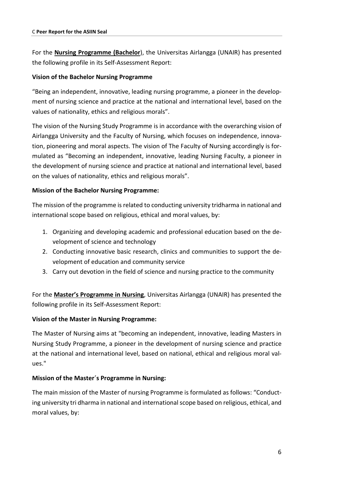For the **Nursing Programme (Bachelor**), the Universitas Airlangga (UNAIR) has presented the following profile in its Self-Assessment Report:

# **Vision of the Bachelor Nursing Programme**

"Being an independent, innovative, leading nursing programme, a pioneer in the development of nursing science and practice at the national and international level, based on the values of nationality, ethics and religious morals".

The vision of the Nursing Study Programme is in accordance with the overarching vision of Airlangga University and the Faculty of Nursing, which focuses on independence, innovation, pioneering and moral aspects. The vision of The Faculty of Nursing accordingly is formulated as "Becoming an independent, innovative, leading Nursing Faculty, a pioneer in the development of nursing science and practice at national and international level, based on the values of nationality, ethics and religious morals".

# **Mission of the Bachelor Nursing Programme:**

The mission of the programme is related to conducting university tridharma in national and international scope based on religious, ethical and moral values, by:

- 1. Organizing and developing academic and professional education based on the development of science and technology
- 2. Conducting innovative basic research, clinics and communities to support the development of education and community service
- 3. Carry out devotion in the field of science and nursing practice to the community

For the **Master's Programme in Nursing**, Universitas Airlangga (UNAIR) has presented the following profile in its Self-Assessment Report:

# **Vision of the Master in Nursing Programme:**

The Master of Nursing aims at "becoming an independent, innovative, leading Masters in Nursing Study Programme, a pioneer in the development of nursing science and practice at the national and international level, based on national, ethical and religious moral values."

# **Mission of the Master´s Programme in Nursing:**

The main mission of the Master of nursing Programme is formulated as follows: "Conducting university tri dharma in national and international scope based on religious, ethical, and moral values, by: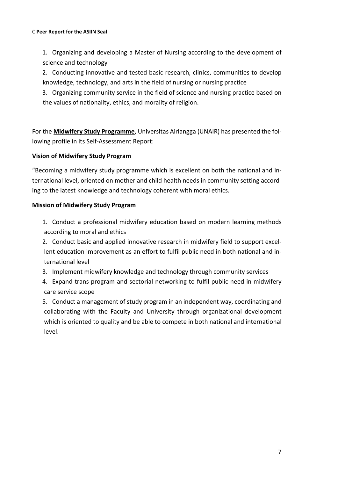1. Organizing and developing a Master of Nursing according to the development of science and technology

2. Conducting innovative and tested basic research, clinics, communities to develop knowledge, technology, and arts in the field of nursing or nursing practice

3. Organizing community service in the field of science and nursing practice based on the values of nationality, ethics, and morality of religion.

For the **Midwifery Study Programme**, Universitas Airlangga (UNAIR) has presented the following profile in its Self-Assessment Report:

# **Vision of Midwifery Study Program**

"Becoming a midwifery study programme which is excellent on both the national and international level, oriented on mother and child health needs in community setting according to the latest knowledge and technology coherent with moral ethics.

# **Mission of Midwifery Study Program**

1. Conduct a professional midwifery education based on modern learning methods according to moral and ethics

2. Conduct basic and applied innovative research in midwifery field to support excellent education improvement as an effort to fulfil public need in both national and international level

- 3. Implement midwifery knowledge and technology through community services
- 4. Expand trans-program and sectorial networking to fulfil public need in midwifery care service scope

5. Conduct a management of study program in an independent way, coordinating and collaborating with the Faculty and University through organizational development which is oriented to quality and be able to compete in both national and international level.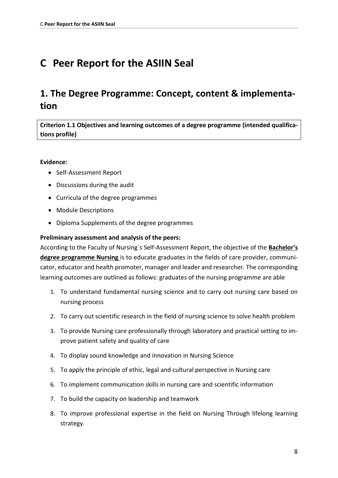# <span id="page-7-0"></span>**C Peer Report for the ASIIN Seal**

# <span id="page-7-1"></span>**1. The Degree Programme: Concept, content & implementation**

**Criterion 1.1 Objectives and learning outcomes of a degree programme (intended qualifications profile)**

### **Evidence:**

- Self-Assessment Report
- Discussions during the audit
- Curricula of the degree programmes
- Module Descriptions
- Diploma Supplements of the degree programmes

# **Preliminary assessment and analysis of the peers:**

According to the Faculty of Nursing´s Self-Assessment Report, the objective of the **Bachelor's degree programme Nursing** is to educate graduates in the fields of care provider, communicator, educator and health promoter, manager and leader and researcher. The corresponding learning outcomes are outlined as follows: graduates of the nursing programme are able

- 1. To understand fundamental nursing science and to carry out nursing care based on nursing process
- 2. To carry out scientific research in the field of nursing science to solve health problem
- 3. To provide Nursing care professionally through laboratory and practical setting to improve patient safety and quality of care
- 4. To display sound knowledge and innovation in Nursing Science
- 5. To apply the principle of ethic, legal and cultural perspective in Nursing care
- 6. To implement communication skills in nursing care and scientific information
- 7. To build the capacity on leadership and teamwork
- 8. To improve professional expertise in the field on Nursing Through lifelong learning strategy.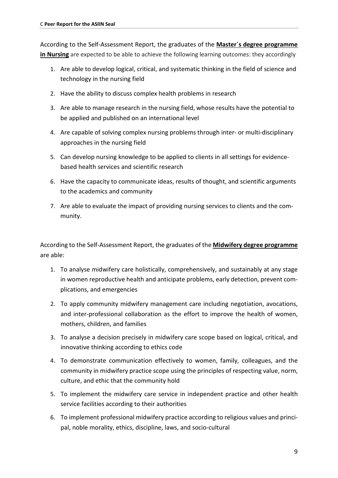According to the Self-Assessment Report, the graduates of the **Master´s degree programme in Nursing** are expected to be able to achieve the following learning outcomes: they accordingly

- 1. Are able to develop logical, critical, and systematic thinking in the field of science and technology in the nursing field
- 2. Have the ability to discuss complex health problems in research
- 3. Are able to manage research in the nursing field, whose results have the potential to be applied and published on an international level
- 4. Are capable of solving complex nursing problems through inter- or multi-disciplinary approaches in the nursing field
- 5. Can develop nursing knowledge to be applied to clients in all settings for evidencebased health services and scientific research
- 6. Have the capacity to communicate ideas, results of thought, and scientific arguments to the academics and community
- 7. Are able to evaluate the impact of providing nursing services to clients and the community.

According to the Self-Assessment Report, the graduates of the **Midwifery degree programme** are able:

- 1. To analyse midwifery care holistically, comprehensively, and sustainably at any stage in women reproductive health and anticipate problems, early detection, prevent complications, and emergencies
- 2. To apply community midwifery management care including negotiation, avocations, and inter-professional collaboration as the effort to improve the health of women, mothers, children, and families
- 3. To analyse a decision precisely in midwifery care scope based on logical, critical, and innovative thinking according to ethics code
- 4. To demonstrate communication effectively to women, family, colleagues, and the community in midwifery practice scope using the principles of respecting value, norm, culture, and ethic that the community hold
- 5. To implement the midwifery care service in independent practice and other health service facilities according to their authorities
- 6. To implement professional midwifery practice according to religious values and principal, noble morality, ethics, discipline, laws, and socio-cultural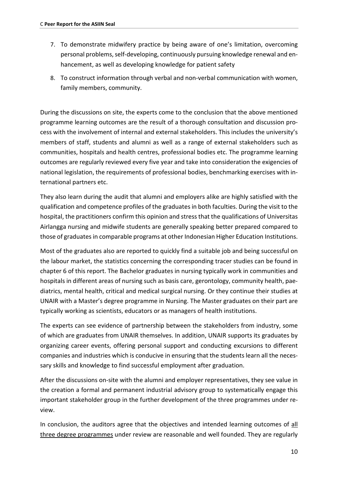- 7. To demonstrate midwifery practice by being aware of one's limitation, overcoming personal problems, self-developing, continuously pursuing knowledge renewal and enhancement, as well as developing knowledge for patient safety
- 8. To construct information through verbal and non-verbal communication with women, family members, community.

During the discussions on site, the experts come to the conclusion that the above mentioned programme learning outcomes are the result of a thorough consultation and discussion process with the involvement of internal and external stakeholders. This includes the university's members of staff, students and alumni as well as a range of external stakeholders such as communities, hospitals and health centres, professional bodies etc. The programme learning outcomes are regularly reviewed every five year and take into consideration the exigencies of national legislation, the requirements of professional bodies, benchmarking exercises with international partners etc.

They also learn during the audit that alumni and employers alike are highly satisfied with the qualification and competence profiles of the graduatesin both faculties. During the visit to the hospital, the practitioners confirm this opinion and stress that the qualifications of Universitas Airlangga nursing and midwife students are generally speaking better prepared compared to those of graduates in comparable programs at other Indonesian Higher Education Institutions.

Most of the graduates also are reported to quickly find a suitable job and being successful on the labour market, the statistics concerning the corresponding tracer studies can be found in chapter 6 of this report. The Bachelor graduates in nursing typically work in communities and hospitals in different areas of nursing such as basis care, gerontology, community health, paediatrics, mental health, critical and medical surgical nursing. Or they continue their studies at UNAIR with a Master's degree programme in Nursing. The Master graduates on their part are typically working as scientists, educators or as managers of health institutions.

The experts can see evidence of partnership between the stakeholders from industry, some of which are graduates from UNAIR themselves. In addition, UNAIR supports its graduates by organizing career events, offering personal support and conducting excursions to different companies and industries which is conducive in ensuring that the students learn all the necessary skills and knowledge to find successful employment after graduation.

After the discussions on-site with the alumni and employer representatives, they see value in the creation a formal and permanent industrial advisory group to systematically engage this important stakeholder group in the further development of the three programmes under review.

In conclusion, the auditors agree that the objectives and intended learning outcomes of all three degree programmes under review are reasonable and well founded. They are regularly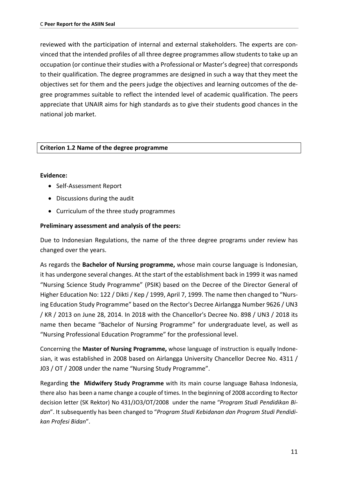reviewed with the participation of internal and external stakeholders. The experts are convinced that the intended profiles of all three degree programmes allow students to take up an occupation (or continue their studies with a Professional or Master's degree) that corresponds to their qualification. The degree programmes are designed in such a way that they meet the objectives set for them and the peers judge the objectives and learning outcomes of the degree programmes suitable to reflect the intended level of academic qualification. The peers appreciate that UNAIR aims for high standards as to give their students good chances in the national job market.

# **Criterion 1.2 Name of the degree programme**

#### **Evidence:**

- Self-Assessment Report
- Discussions during the audit
- Curriculum of the three study programmes

### **Preliminary assessment and analysis of the peers:**

Due to Indonesian Regulations, the name of the three degree programs under review has changed over the years.

As regards the **Bachelor of Nursing programme,** whose main course language is Indonesian, it has undergone several changes. At the start of the establishment back in 1999 it was named "Nursing Science Study Programme" (PSIK) based on the Decree of the Director General of Higher Education No: 122 / Dikti / Kep / 1999, April 7, 1999. The name then changed to "Nursing Education Study Programme" based on the Rector's Decree Airlangga Number 9626 / UN3 / KR / 2013 on June 28, 2014. In 2018 with the Chancellor's Decree No. 898 / UN3 / 2018 its name then became "Bachelor of Nursing Programme" for undergraduate level, as well as "Nursing Professional Education Programme" for the professional level.

Concerning the **Master of Nursing Programme,** whose language of instruction is equally Indonesian, it was established in 2008 based on Airlangga University Chancellor Decree No. 4311 / J03 / OT / 2008 under the name "Nursing Study Programme".

Regarding **the Midwifery Study Programme** with its main course language Bahasa Indonesia, there also has been a name change a couple of times. In the beginning of 2008 according to Rector decision letter (SK Rektor) No 431/JO3/OT/2008 under the name "*Program Studi Pendidikan Bidan*". It subsequently has been changed to "*Program Studi Kebidanan dan Program Studi Pendidikan Profesi Bidan*".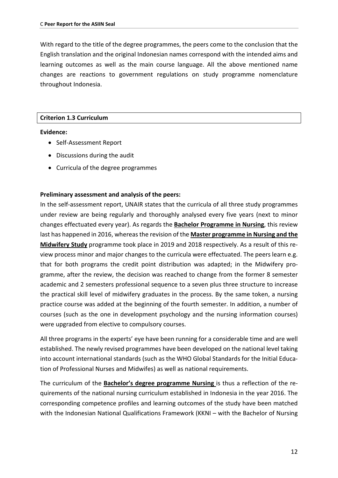With regard to the title of the degree programmes, the peers come to the conclusion that the English translation and the original Indonesian names correspond with the intended aims and learning outcomes as well as the main course language. All the above mentioned name changes are reactions to government regulations on study programme nomenclature throughout Indonesia.

#### **Criterion 1.3 Curriculum**

#### **Evidence:**

- Self-Assessment Report
- Discussions during the audit
- Curricula of the degree programmes

#### **Preliminary assessment and analysis of the peers:**

In the self-assessment report, UNAIR states that the curricula of all three study programmes under review are being regularly and thoroughly analysed every five years (next to minor changes effectuated every year). As regards the **Bachelor Programme in Nursing**, this review last has happened in 2016, whereas the revision of the **Master programme in Nursing and the Midwifery Study** programme took place in 2019 and 2018 respectively. As a result of this review process minor and major changes to the curricula were effectuated. The peers learn e.g. that for both programs the credit point distribution was adapted; in the Midwifery programme, after the review, the decision was reached to change from the former 8 semester academic and 2 semesters professional sequence to a seven plus three structure to increase the practical skill level of midwifery graduates in the process. By the same token, a nursing practice course was added at the beginning of the fourth semester. In addition, a number of courses (such as the one in development psychology and the nursing information courses) were upgraded from elective to compulsory courses.

All three programs in the experts' eye have been running for a considerable time and are well established. The newly revised programmes have been developed on the national level taking into account international standards (such as the WHO Global Standards for the Initial Education of Professional Nurses and Midwifes) as well as national requirements.

The curriculum of the **Bachelor's degree programme Nursing** is thus a reflection of the requirements of the national nursing curriculum established in Indonesia in the year 2016. The corresponding competence profiles and learning outcomes of the study have been matched with the Indonesian National Qualifications Framework (KKNI – with the Bachelor of Nursing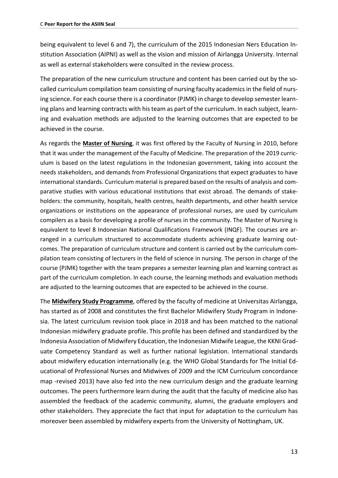being equivalent to level 6 and 7), the curriculum of the 2015 Indonesian Ners Education Institution Association (AIPNI) as well as the vision and mission of Airlangga University. Internal as well as external stakeholders were consulted in the review process.

The preparation of the new curriculum structure and content has been carried out by the socalled curriculum compilation team consisting of nursing faculty academics in the field of nursing science. For each course there is a coordinator (PJMK) in charge to develop semester learning plans and learning contracts with his team as part of the curriculum. In each subject, learning and evaluation methods are adjusted to the learning outcomes that are expected to be achieved in the course.

As regards the **Master of Nursing**, it was first offered by the Faculty of Nursing in 2010, before that it was under the management of the Faculty of Medicine. The preparation of the 2019 curriculum is based on the latest regulations in the Indonesian government, taking into account the needs stakeholders, and demands from Professional Organizations that expect graduates to have international standards. Curriculum material is prepared based on the results of analysis and comparative studies with various educational institutions that exist abroad. The demands of stakeholders: the community, hospitals, health centres, health departments, and other health service organizations or institutions on the appearance of professional nurses, are used by curriculum compilers as a basis for developing a profile of nurses in the community. The Master of Nursing is equivalent to level 8 Indonesian National Qualifications Framework (INQF). The courses are arranged in a curriculum structured to accommodate students achieving graduate learning outcomes. The preparation of curriculum structure and content is carried out by the curriculum compilation team consisting of lecturers in the field of science in nursing. The person in charge of the course (PJMK) together with the team prepares a semester learning plan and learning contract as part of the curriculum completion. In each course, the learning methods and evaluation methods are adjusted to the learning outcomes that are expected to be achieved in the course.

The **Midwifery Study Programme**, offered by the faculty of medicine at Universitas Airlangga, has started as of 2008 and constitutes the first Bachelor Midwifery Study Program in Indonesia. The latest curriculum revision took place in 2018 and has been matched to the national Indonesian midwifery graduate profile. This profile has been defined and standardized by the Indonesia Association of Midwifery Education, the Indonesian Midwife League, the KKNI Graduate Competency Standard as well as further national legislation. International standards about midwifery education internationally (e.g. the WHO Global Standards for The Initial Educational of Professional Nurses and Midwives of 2009 and the ICM Curriculum concordance map -revised 2013) have also fed into the new curriculum design and the graduate learning outcomes. The peers furthermore learn during the audit that the faculty of medicine also has assembled the feedback of the academic community, alumni, the graduate employers and other stakeholders. They appreciate the fact that input for adaptation to the curriculum has moreover been assembled by midwifery experts from the University of Nottingham, UK.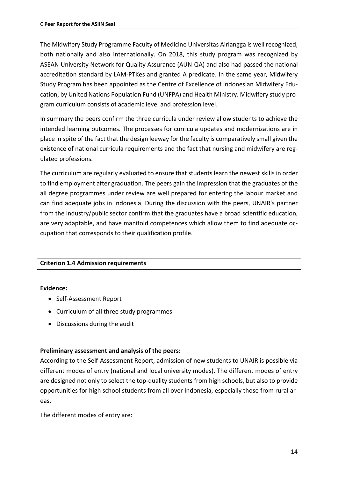The Midwifery Study Programme Faculty of Medicine Universitas Airlangga is well recognized, both nationally and also internationally. On 2018, this study program was recognized by ASEAN University Network for Quality Assurance (AUN-QA) and also had passed the national accreditation standard by LAM-PTKes and granted A predicate. In the same year, Midwifery Study Program has been appointed as the Centre of Excellence of Indonesian Midwifery Education, by United Nations Population Fund (UNFPA) and Health Ministry. Midwifery study program curriculum consists of academic level and profession level.

In summary the peers confirm the three curricula under review allow students to achieve the intended learning outcomes. The processes for curricula updates and modernizations are in place in spite of the fact that the design leeway for the faculty is comparatively small given the existence of national curricula requirements and the fact that nursing and midwifery are regulated professions.

The curriculum are regularly evaluated to ensure that students learn the newest skills in order to find employment after graduation. The peers gain the impression that the graduates of the all degree programmes under review are well prepared for entering the labour market and can find adequate jobs in Indonesia. During the discussion with the peers, UNAIR's partner from the industry/public sector confirm that the graduates have a broad scientific education, are very adaptable, and have manifold competences which allow them to find adequate occupation that corresponds to their qualification profile.

#### **Criterion 1.4 Admission requirements**

#### **Evidence:**

- Self-Assessment Report
- Curriculum of all three study programmes
- Discussions during the audit

#### **Preliminary assessment and analysis of the peers:**

According to the Self-Assessment Report, admission of new students to UNAIR is possible via different modes of entry (national and local university modes). The different modes of entry are designed not only to select the top-quality students from high schools, but also to provide opportunities for high school students from all over Indonesia, especially those from rural areas.

The different modes of entry are: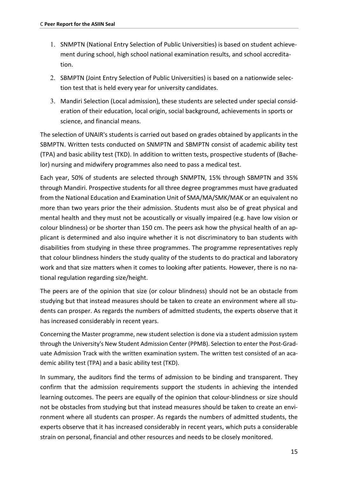- 1. SNMPTN (National Entry Selection of Public Universities) is based on student achievement during school, high school national examination results, and school accreditation.
- 2. SBMPTN (Joint Entry Selection of Public Universities) is based on a nationwide selection test that is held every year for university candidates.
- 3. Mandiri Selection (Local admission), these students are selected under special consideration of their education, local origin, social background, achievements in sports or science, and financial means.

The selection of UNAIR's students is carried out based on grades obtained by applicants in the SBMPTN. Written tests conducted on SNMPTN and SBMPTN consist of academic ability test (TPA) and basic ability test (TKD). In addition to written tests, prospective students of (Bachelor) nursing and midwifery programmes also need to pass a medical test.

Each year, 50% of students are selected through SNMPTN, 15% through SBMPTN and 35% through Mandiri. Prospective students for all three degree programmes must have graduated from the National Education and Examination Unit of SMA/MA/SMK/MAK or an equivalent no more than two years prior the their admission. Students must also be of great physical and mental health and they must not be acoustically or visually impaired (e.g. have low vision or colour blindness) or be shorter than 150 cm. The peers ask how the physical health of an applicant is determined and also inquire whether it is not discriminatory to ban students with disabilities from studying in these three programmes. The programme representatives reply that colour blindness hinders the study quality of the students to do practical and laboratory work and that size matters when it comes to looking after patients. However, there is no national regulation regarding size/height.

The peers are of the opinion that size (or colour blindness) should not be an obstacle from studying but that instead measures should be taken to create an environment where all students can prosper. As regards the numbers of admitted students, the experts observe that it has increased considerably in recent years.

Concerning the Master programme, new student selection is done via a student admission system through the University's New Student Admission Center (PPMB). Selection to enter the Post-Graduate Admission Track with the written examination system. The written test consisted of an academic ability test (TPA) and a basic ability test (TKD).

In summary, the auditors find the terms of admission to be binding and transparent. They confirm that the admission requirements support the students in achieving the intended learning outcomes. The peers are equally of the opinion that colour-blindness or size should not be obstacles from studying but that instead measures should be taken to create an environment where all students can prosper. As regards the numbers of admitted students, the experts observe that it has increased considerably in recent years, which puts a considerable strain on personal, financial and other resources and needs to be closely monitored.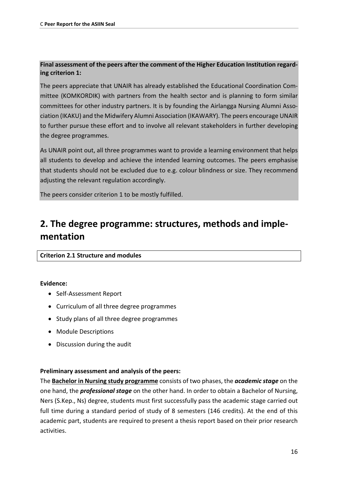# **Final assessment of the peers after the comment of the Higher Education Institution regarding criterion 1:**

The peers appreciate that UNAIR has already established the Educational Coordination Committee (KOMKORDIK) with partners from the health sector and is planning to form similar committees for other industry partners. It is by founding the Airlangga Nursing Alumni Association (IKAKU) and the Midwifery Alumni Association (IKAWARY). The peers encourage UNAIR to further pursue these effort and to involve all relevant stakeholders in further developing the degree programmes.

As UNAIR point out, all three programmes want to provide a learning environment that helps all students to develop and achieve the intended learning outcomes. The peers emphasise that students should not be excluded due to e.g. colour blindness or size. They recommend adjusting the relevant regulation accordingly.

<span id="page-15-0"></span>The peers consider criterion 1 to be mostly fulfilled.

# **2. The degree programme: structures, methods and implementation**

# **Criterion 2.1 Structure and modules**

#### **Evidence:**

- Self-Assessment Report
- Curriculum of all three degree programmes
- Study plans of all three degree programmes
- Module Descriptions
- Discussion during the audit

# **Preliminary assessment and analysis of the peers:**

The **Bachelor in Nursing study programme** consists of two phases, the *academic stage* on the one hand, the *professional stage* on the other hand. In order to obtain a Bachelor of Nursing, Ners (S.Kep., Ns) degree, students must first successfully pass the academic stage carried out full time during a standard period of study of 8 semesters (146 credits). At the end of this academic part, students are required to present a thesis report based on their prior research activities.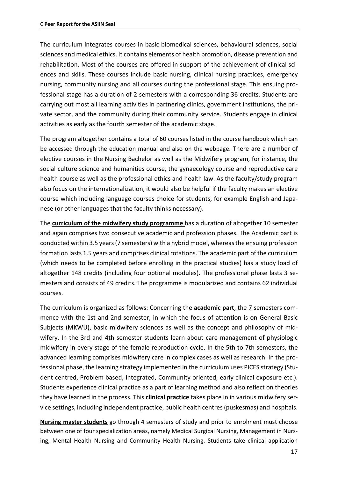The curriculum integrates courses in basic biomedical sciences, behavioural sciences, social sciences and medical ethics. It contains elements of health promotion, disease prevention and rehabilitation. Most of the courses are offered in support of the achievement of clinical sciences and skills. These courses include basic nursing, clinical nursing practices, emergency nursing, community nursing and all courses during the professional stage. This ensuing professional stage has a duration of 2 semesters with a corresponding 36 credits. Students are carrying out most all learning activities in partnering clinics, government institutions, the private sector, and the community during their community service. Students engage in clinical activities as early as the fourth semester of the academic stage.

The program altogether contains a total of 60 courses listed in the course handbook which can be accessed through the education manual and also on the webpage. There are a number of elective courses in the Nursing Bachelor as well as the Midwifery program, for instance, the social culture science and humanities course, the gynaecology course and reproductive care health course as well as the professional ethics and health law. As the faculty/study program also focus on the internationalization, it would also be helpful if the faculty makes an elective course which including language courses choice for students, for example English and Japanese (or other languages that the faculty thinks necessary).

The **curriculum of the midwifery study programme** has a duration of altogether 10 semester and again comprises two consecutive academic and profession phases. The Academic part is conducted within 3.5 years (7 semesters) with a hybrid model, whereas the ensuing profession formation lasts 1.5 years and comprises clinical rotations. The academic part of the curriculum (which needs to be completed before enrolling in the practical studies) has a study load of altogether 148 credits (including four optional modules). The professional phase lasts 3 semesters and consists of 49 credits. The programme is modularized and contains 62 individual courses.

The curriculum is organized as follows: Concerning the **academic part**, the 7 semesters commence with the 1st and 2nd semester, in which the focus of attention is on General Basic Subjects (MKWU), basic midwifery sciences as well as the concept and philosophy of midwifery. In the 3rd and 4th semester students learn about care management of physiologic midwifery in every stage of the female reproduction cycle. In the 5th to 7th semesters, the advanced learning comprises midwifery care in complex cases as well as research. In the professional phase, the learning strategy implemented in the curriculum uses PICES strategy (Student centred, Problem based, Integrated, Community oriented, early clinical exposure etc.). Students experience clinical practice as a part of learning method and also reflect on theories they have learned in the process. This **clinical practice** takes place in in various midwifery service settings, including independent practice, public health centres (puskesmas) and hospitals.

**Nursing master students** go through 4 semesters of study and prior to enrolment must choose between one of four specialization areas, namely Medical Surgical Nursing, Management in Nursing, Mental Health Nursing and Community Health Nursing. Students take clinical application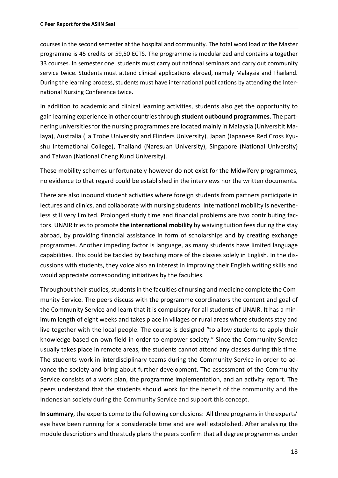courses in the second semester at the hospital and community. The total word load of the Master programme is 45 credits or 59,50 ECTS. The programme is modularized and contains altogether 33 courses. In semester one, students must carry out national seminars and carry out community service twice. Students must attend clinical applications abroad, namely Malaysia and Thailand. During the learning process, students must have international publications by attending the International Nursing Conference twice.

In addition to academic and clinical learning activities, students also get the opportunity to gain learning experience in other countries through **student outbound programmes**. The partnering universities for the nursing programmes are located mainly in Malaysia (Universitit Malaya), Australia (La Trobe University and Flinders University), Japan (Japanese Red Cross Kyushu International College), Thailand (Naresuan University), Singapore (National University) and Taiwan (National Cheng Kund University).

These mobility schemes unfortunately however do not exist for the Midwifery programmes, no evidence to that regard could be established in the interviews nor the written documents.

There are also inbound student activities where foreign students from partners participate in lectures and clinics, and collaborate with nursing students. International mobility is nevertheless still very limited. Prolonged study time and financial problems are two contributing factors. UNAIR tries to promote **the international mobility** by waiving tuition fees during the stay abroad, by providing financial assistance in form of scholarships and by creating exchange programmes. Another impeding factor is language, as many students have limited language capabilities. This could be tackled by teaching more of the classes solely in English. In the discussions with students, they voice also an interest in improving their English writing skills and would appreciate corresponding initiatives by the faculties.

Throughout their studies, students in the faculties of nursing and medicine complete the Community Service. The peers discuss with the programme coordinators the content and goal of the Community Service and learn that it is compulsory for all students of UNAIR. It has a minimum length of eight weeks and takes place in villages or rural areas where students stay and live together with the local people. The course is designed "to allow students to apply their knowledge based on own field in order to empower society." Since the Community Service usually takes place in remote areas, the students cannot attend any classes during this time. The students work in interdisciplinary teams during the Community Service in order to advance the society and bring about further development. The assessment of the Community Service consists of a work plan, the programme implementation, and an activity report. The peers understand that the students should work for the benefit of the community and the Indonesian society during the Community Service and support this concept.

**In summary**, the experts come to the following conclusions: All three programs in the experts' eye have been running for a considerable time and are well established. After analysing the module descriptions and the study plans the peers confirm that all degree programmes under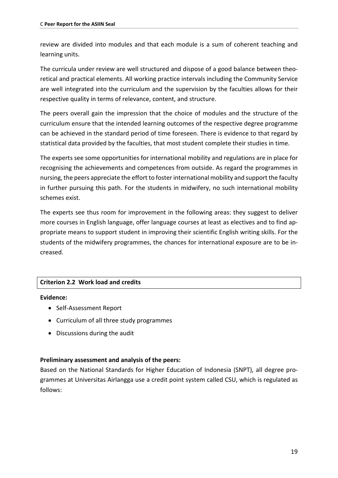review are divided into modules and that each module is a sum of coherent teaching and learning units.

The curricula under review are well structured and dispose of a good balance between theoretical and practical elements. All working practice intervals including the Community Service are well integrated into the curriculum and the supervision by the faculties allows for their respective quality in terms of relevance, content, and structure.

The peers overall gain the impression that the choice of modules and the structure of the curriculum ensure that the intended learning outcomes of the respective degree programme can be achieved in the standard period of time foreseen. There is evidence to that regard by statistical data provided by the faculties, that most student complete their studies in time.

The experts see some opportunities for international mobility and regulations are in place for recognising the achievements and competences from outside. As regard the programmes in nursing, the peers appreciate the effort to foster international mobility and support the faculty in further pursuing this path. For the students in midwifery, no such international mobility schemes exist.

The experts see thus room for improvement in the following areas: they suggest to deliver more courses in English language, offer language courses at least as electives and to find appropriate means to support student in improving their scientific English writing skills. For the students of the midwifery programmes, the chances for international exposure are to be increased.

# **Criterion 2.2 Work load and credits**

# **Evidence:**

- Self-Assessment Report
- Curriculum of all three study programmes
- Discussions during the audit

# **Preliminary assessment and analysis of the peers:**

Based on the National Standards for Higher Education of Indonesia (SNPT), all degree programmes at Universitas Airlangga use a credit point system called CSU, which is regulated as follows: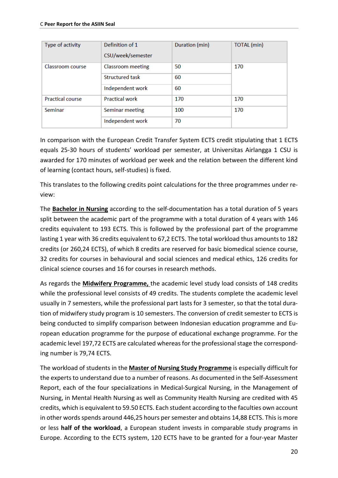| Type of activity        | Definition of 1<br>CSU/week/semester | Duration (min) | <b>TOTAL</b> (min) |  |
|-------------------------|--------------------------------------|----------------|--------------------|--|
| Classroom course        | <b>Classroom</b> meeting             | 50             | 170                |  |
|                         | <b>Structured task</b>               | 60             |                    |  |
|                         | Independent work                     | 60             |                    |  |
| <b>Practical course</b> | <b>Practical work</b>                | 170            | 170                |  |
| Seminar                 | Seminar meeting                      | 100            | 170                |  |
|                         | Independent work                     | 70             |                    |  |

In comparison with the European Credit Transfer System ECTS credit stipulating that 1 ECTS equals 25-30 hours of students' workload per semester, at Universitas Airlangga 1 CSU is awarded for 170 minutes of workload per week and the relation between the different kind of learning (contact hours, self-studies) is fixed.

This translates to the following credits point calculations for the three programmes under review:

The **Bachelor in Nursing** according to the self-documentation has a total duration of 5 years split between the academic part of the programme with a total duration of 4 years with 146 credits equivalent to 193 ECTS. This is followed by the professional part of the programme lasting 1 year with 36 credits equivalent to 67,2 ECTS. The total workload thus amounts to 182 credits (or 260,24 ECTS), of which 8 credits are reserved for basic biomedical science course, 32 credits for courses in behavioural and social sciences and medical ethics, 126 credits for clinical science courses and 16 for courses in research methods.

As regards the **Midwifery Programme,** the academic level study load consists of 148 credits while the professional level consists of 49 credits. The students complete the academic level usually in 7 semesters, while the professional part lasts for 3 semester, so that the total duration of midwifery study program is 10 semesters. The conversion of credit semester to ECTS is being conducted to simplify comparison between Indonesian education programme and European education programme for the purpose of educational exchange programme. For the academic level 197,72 ECTS are calculated whereas for the professional stage the corresponding number is 79,74 ECTS.

The workload of students in the **Master of Nursing Study Programme** is especially difficult for the experts to understand due to a number of reasons. As documented in the Self-Assessment Report, each of the four specializations in Medical-Surgical Nursing, in the Management of Nursing, in Mental Health Nursing as well as Community Health Nursing are credited with 45 credits, which is equivalent to 59.50 ECTS. Each student according to the faculties own account in other words spends around 446,25 hours per semester and obtains 14,88 ECTS. This is more or less **half of the workload**, a European student invests in comparable study programs in Europe. According to the ECTS system, 120 ECTS have to be granted for a four-year Master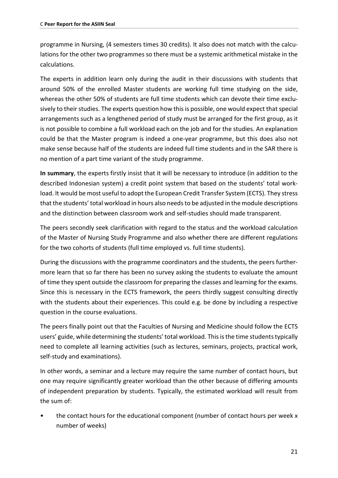programme in Nursing, (4 semesters times 30 credits). It also does not match with the calculations for the other two programmes so there must be a systemic arithmetical mistake in the calculations.

The experts in addition learn only during the audit in their discussions with students that around 50% of the enrolled Master students are working full time studying on the side, whereas the other 50% of students are full time students which can devote their time exclusively to their studies. The experts question how this is possible, one would expect that special arrangements such as a lengthened period of study must be arranged for the first group, as it is not possible to combine a full workload each on the job and for the studies. An explanation could be that the Master program is indeed a one-year programme, but this does also not make sense because half of the students are indeed full time students and in the SAR there is no mention of a part time variant of the study programme.

**In summary**, the experts firstly insist that it will be necessary to introduce (in addition to the described Indonesian system) a credit point system that based on the students' total workload. It would be most useful to adopt the European Credit Transfer System (ECTS). They stress that the students' total workload in hours also needs to be adjusted in the module descriptions and the distinction between classroom work and self-studies should made transparent.

The peers secondly seek clarification with regard to the status and the workload calculation of the Master of Nursing Study Programme and also whether there are different regulations for the two cohorts of students (full time employed vs. full time students).

During the discussions with the programme coordinators and the students, the peers furthermore learn that so far there has been no survey asking the students to evaluate the amount of time they spent outside the classroom for preparing the classes and learning for the exams. Since this is necessary in the ECTS framework, the peers thirdly suggest consulting directly with the students about their experiences. This could e.g. be done by including a respective question in the course evaluations.

The peers finally point out that the Faculties of Nursing and Medicine should follow the ECTS users' guide, while determining the students' total workload. This is the time students typically need to complete all learning activities (such as lectures, seminars, projects, practical work, self-study and examinations).

In other words, a seminar and a lecture may require the same number of contact hours, but one may require significantly greater workload than the other because of differing amounts of independent preparation by students. Typically, the estimated workload will result from the sum of:

• the contact hours for the educational component (number of contact hours per week x number of weeks)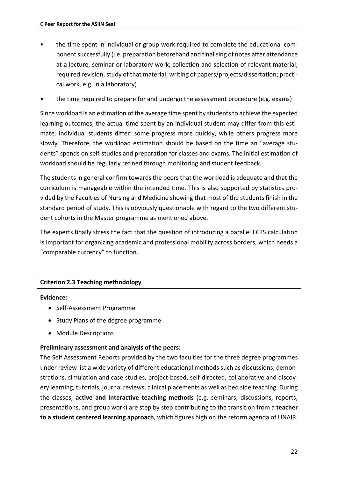- the time spent in individual or group work required to complete the educational component successfully (i.e. preparation beforehand and finalising of notes after attendance at a lecture, seminar or laboratory work; collection and selection of relevant material; required revision, study of that material; writing of papers/projects/dissertation; practical work, e.g. in a laboratory)
- the time required to prepare for and undergo the assessment procedure (e.g. exams)

Since workload is an estimation of the average time spent by students to achieve the expected learning outcomes, the actual time spent by an individual student may differ from this estimate. Individual students differ: some progress more quickly, while others progress more slowly. Therefore, the workload estimation should be based on the time an "average students" spends on self-studies and preparation for classes and exams. The initial estimation of workload should be regularly refined through monitoring and student feedback.

The students in general confirm towards the peers that the workload is adequate and that the curriculum is manageable within the intended time. This is also supported by statistics provided by the Faculties of Nursing and Medicine showing that most of the students finish in the standard period of study. This is obviously questionable with regard to the two different student cohorts in the Master programme as mentioned above.

The experts finally stress the fact that the question of introducing a parallel ECTS calculation is important for organizing academic and professional mobility across borders, which needs a "comparable currency" to function.

# **Criterion 2.3 Teaching methodology**

#### **Evidence:**

- Self-Assessment Programme
- Study Plans of the degree programme
- Module Descriptions

# **Preliminary assessment and analysis of the peers:**

The Self Assessment Reports provided by the two faculties for the three degree programmes under review list a wide variety of different educational methods such as discussions, demonstrations, simulation and case studies, project-based, self-directed, collaborative and discovery learning, tutorials, journal reviews, clinical placements as well as bed side teaching. During the classes, **active and interactive teaching methods** (e.g. seminars, discussions, reports, presentations, and group work) are step by step contributing to the transition from a **teacher to a student centered learning approach**, which figures high on the reform agenda of UNAIR.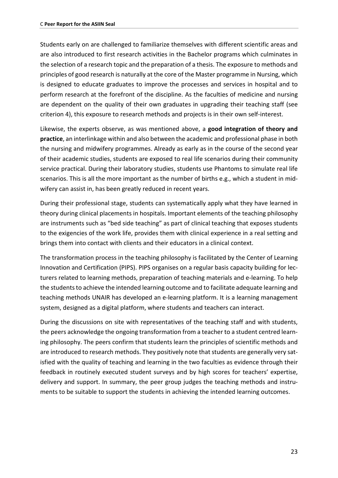Students early on are challenged to familiarize themselves with different scientific areas and are also introduced to first research activities in the Bachelor programs which culminates in the selection of a research topic and the preparation of a thesis. The exposure to methods and principles of good research is naturally at the core of the Master programme in Nursing, which is designed to educate graduates to improve the processes and services in hospital and to perform research at the forefront of the discipline. As the faculties of medicine and nursing are dependent on the quality of their own graduates in upgrading their teaching staff (see criterion 4), this exposure to research methods and projects is in their own self-interest.

Likewise, the experts observe, as was mentioned above, a **good integration of theory and practice**, an interlinkage within and also between the academic and professional phase in both the nursing and midwifery programmes. Already as early as in the course of the second year of their academic studies, students are exposed to real life scenarios during their community service practical. During their laboratory studies, students use Phantoms to simulate real life scenarios. This is all the more important as the number of births e.g., which a student in midwifery can assist in, has been greatly reduced in recent years.

During their professional stage, students can systematically apply what they have learned in theory during clinical placements in hospitals. Important elements of the teaching philosophy are instruments such as "bed side teaching" as part of clinical teaching that exposes students to the exigencies of the work life, provides them with clinical experience in a real setting and brings them into contact with clients and their educators in a clinical context.

The transformation process in the teaching philosophy is facilitated by the Center of Learning Innovation and Certification (PIPS). PIPS organises on a regular basis capacity building for lecturers related to learning methods, preparation of teaching materials and e-learning. To help the students to achieve the intended learning outcome and to facilitate adequate learning and teaching methods UNAIR has developed an e-learning platform. It is a learning management system, designed as a digital platform, where students and teachers can interact.

During the discussions on site with representatives of the teaching staff and with students, the peers acknowledge the ongoing transformation from a teacher to a student centred learning philosophy. The peers confirm that students learn the principles of scientific methods and are introduced to research methods. They positively note that students are generally very satisfied with the quality of teaching and learning in the two faculties as evidence through their feedback in routinely executed student surveys and by high scores for teachers' expertise, delivery and support. In summary, the peer group judges the teaching methods and instruments to be suitable to support the students in achieving the intended learning outcomes.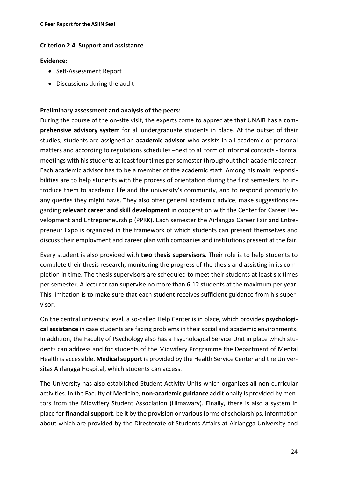#### **Criterion 2.4 Support and assistance**

#### **Evidence:**

- Self-Assessment Report
- Discussions during the audit

#### **Preliminary assessment and analysis of the peers:**

During the course of the on-site visit, the experts come to appreciate that UNAIR has a **comprehensive advisory system** for all undergraduate students in place. At the outset of their studies, students are assigned an **academic advisor** who assists in all academic or personal matters and according to regulations schedules –next to all form of informal contacts - formal meetings with his students at least four times per semester throughout their academic career. Each academic advisor has to be a member of the academic staff. Among his main responsibilities are to help students with the process of orientation during the first semesters, to introduce them to academic life and the university's community, and to respond promptly to any queries they might have. They also offer general academic advice, make suggestions regarding **relevant career and skill development** in cooperation with the Center for Career Development and Entrepreneurship (PPKK). Each semester the Airlangga Career Fair and Entrepreneur Expo is organized in the framework of which students can present themselves and discuss their employment and career plan with companies and institutions present at the fair.

Every student is also provided with **two thesis supervisors**. Their role is to help students to complete their thesis research, monitoring the progress of the thesis and assisting in its completion in time. The thesis supervisors are scheduled to meet their students at least six times per semester. A lecturer can supervise no more than 6-12 students at the maximum per year. This limitation is to make sure that each student receives sufficient guidance from his supervisor.

On the central university level, a so-called Help Center is in place, which provides **psychological assistance** in case students are facing problems in their social and academic environments. In addition, the Faculty of Psychology also has a Psychological Service Unit in place which students can address and for students of the Midwifery Programme the Department of Mental Health is accessible. **Medical support** is provided by the Health Service Center and the Universitas Airlangga Hospital, which students can access.

The University has also established Student Activity Units which organizes all non-curricular activities. In the Faculty of Medicine, **non-academic guidance** additionally is provided by mentors from the Midwifery Student Association (Himawary). Finally, there is also a system in place for **financial support**, be it by the provision or various forms of scholarships, information about which are provided by the Directorate of Students Affairs at Airlangga University and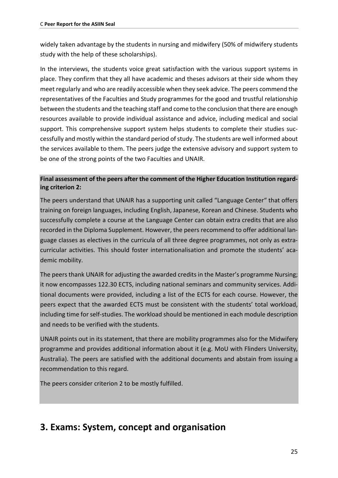widely taken advantage by the students in nursing and midwifery (50% of midwifery students study with the help of these scholarships).

In the interviews, the students voice great satisfaction with the various support systems in place. They confirm that they all have academic and theses advisors at their side whom they meet regularly and who are readily accessible when they seek advice. The peers commend the representatives of the Faculties and Study programmes for the good and trustful relationship between the students and the teaching staff and come to the conclusion that there are enough resources available to provide individual assistance and advice, including medical and social support. This comprehensive support system helps students to complete their studies successfully and mostly within the standard period of study. The students are well informed about the services available to them. The peers judge the extensive advisory and support system to be one of the strong points of the two Faculties and UNAIR.

# **Final assessment of the peers after the comment of the Higher Education Institution regarding criterion 2:**

The peers understand that UNAIR has a supporting unit called "Language Center" that offers training on foreign languages, including English, Japanese, Korean and Chinese. Students who successfully complete a course at the Language Center can obtain extra credits that are also recorded in the Diploma Supplement. However, the peers recommend to offer additional language classes as electives in the curricula of all three degree programmes, not only as extracurricular activities. This should foster internationalisation and promote the students' academic mobility.

The peers thank UNAIR for adjusting the awarded credits in the Master's programme Nursing; it now encompasses 122.30 ECTS, including national seminars and community services. Additional documents were provided, including a list of the ECTS for each course. However, the peers expect that the awarded ECTS must be consistent with the students' total workload, including time for self-studies. The workload should be mentioned in each module description and needs to be verified with the students.

UNAIR points out in its statement, that there are mobility programmes also for the Midwifery programme and provides additional information about it (e.g. MoU with Flinders University, Australia). The peers are satisfied with the additional documents and abstain from issuing a recommendation to this regard.

The peers consider criterion 2 to be mostly fulfilled.

# <span id="page-24-0"></span>**3. Exams: System, concept and organisation**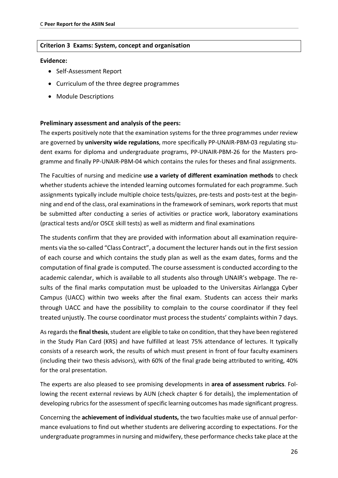#### **Criterion 3 Exams: System, concept and organisation**

#### **Evidence:**

- Self-Assessment Report
- Curriculum of the three degree programmes
- Module Descriptions

#### **Preliminary assessment and analysis of the peers:**

The experts positively note that the examination systems for the three programmes under review are governed by **university wide regulations**, more specifically PP-UNAIR-PBM-03 regulating student exams for diploma and undergraduate programs, PP-UNAIR-PBM-26 for the Masters programme and finally PP-UNAIR-PBM-04 which contains the rules for theses and final assignments.

The Faculties of nursing and medicine **use a variety of different examination methods** to check whether students achieve the intended learning outcomes formulated for each programme. Such assignments typically include multiple choice tests/quizzes, pre-tests and posts-test at the beginning and end of the class, oral examinations in the framework of seminars, work reports that must be submitted after conducting a series of activities or practice work, laboratory examinations (practical tests and/or OSCE skill tests) as well as midterm and final examinations

The students confirm that they are provided with information about all examination requirements via the so-called "Class Contract", a document the lecturer hands out in the first session of each course and which contains the study plan as well as the exam dates, forms and the computation of final grade is computed. The course assessment is conducted according to the academic calendar, which is available to all students also through UNAIR's webpage. The results of the final marks computation must be uploaded to the Universitas Airlangga Cyber Campus (UACC) within two weeks after the final exam. Students can access their marks through UACC and have the possibility to complain to the course coordinator if they feel treated unjustly. The course coordinator must process the students' complaints within 7 days.

As regards the **final thesis**, student are eligible to take on condition, that they have been registered in the Study Plan Card (KRS) and have fulfilled at least 75% attendance of lectures. It typically consists of a research work, the results of which must present in front of four faculty examiners (including their two thesis advisors), with 60% of the final grade being attributed to writing, 40% for the oral presentation.

The experts are also pleased to see promising developments in **area of assessment rubrics**. Following the recent external reviews by AUN (check chapter 6 for details), the implementation of developing rubrics for the assessment of specific learning outcomes has made significant progress.

Concerning the **achievement of individual students,** the two faculties make use of annual performance evaluations to find out whether students are delivering according to expectations. For the undergraduate programmes in nursing and midwifery, these performance checks take place at the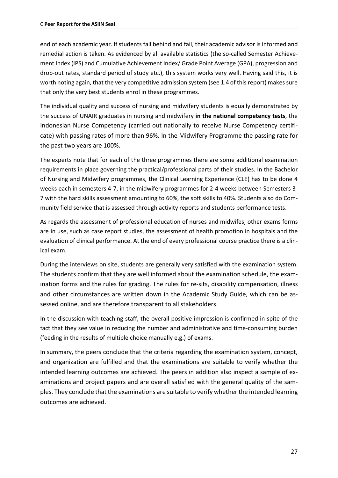end of each academic year. If students fall behind and fail, their academic advisor is informed and remedial action is taken. As evidenced by all available statistics (the so-called Semester Achievement Index (IPS) and Cumulative Achievement Index/ Grade Point Average (GPA), progression and drop-out rates, standard period of study etc.), this system works very well. Having said this, it is worth noting again, that the very competitive admission system (see 1.4 of this report) makes sure that only the very best students enrol in these programmes.

The individual quality and success of nursing and midwifery students is equally demonstrated by the success of UNAIR graduates in nursing and midwifery **in the national competency tests**, the Indonesian Nurse Competency (carried out nationally to receive Nurse Competency certificate) with passing rates of more than 96%. In the Midwifery Programme the passing rate for the past two years are 100%.

The experts note that for each of the three programmes there are some additional examination requirements in place governing the practical/professional parts of their studies. In the Bachelor of Nursing and Midwifery programmes, the Clinical Learning Experience (CLE) has to be done 4 weeks each in semesters 4-7, in the midwifery programmes for 2-4 weeks between Semesters 3- 7 with the hard skills assessment amounting to 60%, the soft skills to 40%. Students also do Community field service that is assessed through activity reports and students performance tests.

As regards the assessment of professional education of nurses and midwifes, other exams forms are in use, such as case report studies, the assessment of health promotion in hospitals and the evaluation of clinical performance. At the end of every professional course practice there is a clinical exam.

During the interviews on site, students are generally very satisfied with the examination system. The students confirm that they are well informed about the examination schedule, the examination forms and the rules for grading. The rules for re-sits, disability compensation, illness and other circumstances are written down in the Academic Study Guide, which can be assessed online, and are therefore transparent to all stakeholders.

In the discussion with teaching staff, the overall positive impression is confirmed in spite of the fact that they see value in reducing the number and administrative and time-consuming burden (feeding in the results of multiple choice manually e.g.) of exams.

In summary, the peers conclude that the criteria regarding the examination system, concept, and organization are fulfilled and that the examinations are suitable to verify whether the intended learning outcomes are achieved. The peers in addition also inspect a sample of examinations and project papers and are overall satisfied with the general quality of the samples. They conclude that the examinations are suitable to verify whether the intended learning outcomes are achieved.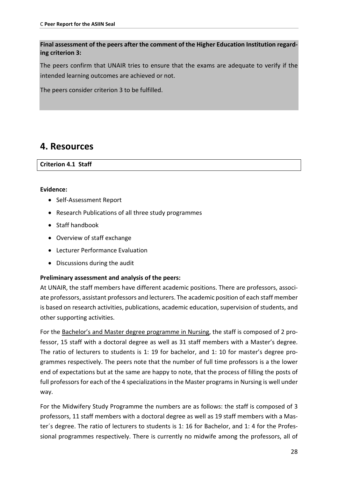**Final assessment of the peers after the comment of the Higher Education Institution regarding criterion 3:**

The peers confirm that UNAIR tries to ensure that the exams are adequate to verify if the intended learning outcomes are achieved or not.

The peers consider criterion 3 to be fulfilled.

# <span id="page-27-0"></span>**4. Resources**

**Criterion 4.1 Staff**

### **Evidence:**

- Self-Assessment Report
- Research Publications of all three study programmes
- Staff handbook
- Overview of staff exchange
- Lecturer Performance Evaluation
- Discussions during the audit

# **Preliminary assessment and analysis of the peers:**

At UNAIR, the staff members have different academic positions. There are professors, associate professors, assistant professors and lecturers. The academic position of each staff member is based on research activities, publications, academic education, supervision of students, and other supporting activities.

For the Bachelor's and Master degree programme in Nursing, the staff is composed of 2 professor, 15 staff with a doctoral degree as well as 31 staff members with a Master's degree. The ratio of lecturers to students is 1: 19 for bachelor, and 1: 10 for master's degree programmes respectively. The peers note that the number of full time professors is a the lower end of expectations but at the same are happy to note, that the process of filling the posts of full professors for each of the 4 specializations in the Master programs in Nursing is well under way.

For the Midwifery Study Programme the numbers are as follows: the staff is composed of 3 professors, 11 staff members with a doctoral degree as well as 19 staff members with a Master´s degree. The ratio of lecturers to students is 1: 16 for Bachelor, and 1: 4 for the Professional programmes respectively. There is currently no midwife among the professors, all of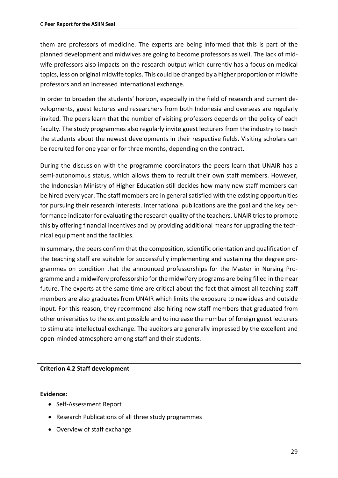them are professors of medicine. The experts are being informed that this is part of the planned development and midwives are going to become professors as well. The lack of midwife professors also impacts on the research output which currently has a focus on medical topics, less on original midwife topics. This could be changed by a higher proportion of midwife professors and an increased international exchange.

In order to broaden the students' horizon, especially in the field of research and current developments, guest lectures and researchers from both Indonesia and overseas are regularly invited. The peers learn that the number of visiting professors depends on the policy of each faculty. The study programmes also regularly invite guest lecturers from the industry to teach the students about the newest developments in their respective fields. Visiting scholars can be recruited for one year or for three months, depending on the contract.

During the discussion with the programme coordinators the peers learn that UNAIR has a semi-autonomous status, which allows them to recruit their own staff members. However, the Indonesian Ministry of Higher Education still decides how many new staff members can be hired every year. The staff members are in general satisfied with the existing opportunities for pursuing their research interests. International publications are the goal and the key performance indicator for evaluating the research quality of the teachers. UNAIR tries to promote this by offering financial incentives and by providing additional means for upgrading the technical equipment and the facilities.

In summary, the peers confirm that the composition, scientific orientation and qualification of the teaching staff are suitable for successfully implementing and sustaining the degree programmes on condition that the announced professorships for the Master in Nursing Programme and a midwifery professorship for the midwifery programs are being filled in the near future. The experts at the same time are critical about the fact that almost all teaching staff members are also graduates from UNAIR which limits the exposure to new ideas and outside input. For this reason, they recommend also hiring new staff members that graduated from other universities to the extent possible and to increase the number of foreign guest lecturers to stimulate intellectual exchange. The auditors are generally impressed by the excellent and open-minded atmosphere among staff and their students.

#### **Criterion 4.2 Staff development**

#### **Evidence:**

- Self-Assessment Report
- Research Publications of all three study programmes
- Overview of staff exchange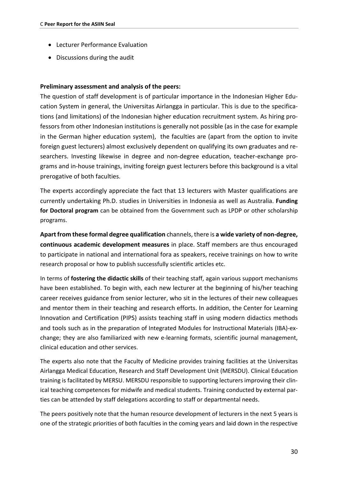- Lecturer Performance Evaluation
- Discussions during the audit

#### **Preliminary assessment and analysis of the peers:**

The question of staff development is of particular importance in the Indonesian Higher Education System in general, the Universitas Airlangga in particular. This is due to the specifications (and limitations) of the Indonesian higher education recruitment system. As hiring professors from other Indonesian institutions is generally not possible (as in the case for example in the German higher education system), the faculties are (apart from the option to invite foreign guest lecturers) almost exclusively dependent on qualifying its own graduates and researchers. Investing likewise in degree and non-degree education, teacher-exchange programs and in-house trainings, inviting foreign guest lecturers before this background is a vital prerogative of both faculties.

The experts accordingly appreciate the fact that 13 lecturers with Master qualifications are currently undertaking Ph.D. studies in Universities in Indonesia as well as Australia. **Funding for Doctoral program** can be obtained from the Government such as LPDP or other scholarship programs.

**Apart from these formal degree qualification** channels, there is **a wide variety of non-degree, continuous academic development measures** in place. Staff members are thus encouraged to participate in national and international fora as speakers, receive trainings on how to write research proposal or how to publish successfully scientific articles etc.

In terms of **fostering the didactic skills** of their teaching staff, again various support mechanisms have been established. To begin with, each new lecturer at the beginning of his/her teaching career receives guidance from senior lecturer, who sit in the lectures of their new colleagues and mentor them in their teaching and research efforts. In addition, the Center for Learning Innovation and Certification (PIPS) assists teaching staff in using modern didactics methods and tools such as in the preparation of Integrated Modules for Instructional Materials (IBA)-exchange; they are also familiarized with new e-learning formats, scientific journal management, clinical education and other services.

The experts also note that the Faculty of Medicine provides training facilities at the Universitas Airlangga Medical Education, Research and Staff Development Unit (MERSDU). Clinical Education training is facilitated by MERSU. MERSDU responsible to supporting lecturers improving their clinical teaching competences for midwife and medical students. Training conducted by external parties can be attended by staff delegations according to staff or departmental needs.

The peers positively note that the human resource development of lecturers in the next 5 years is one of the strategic priorities of both faculties in the coming years and laid down in the respective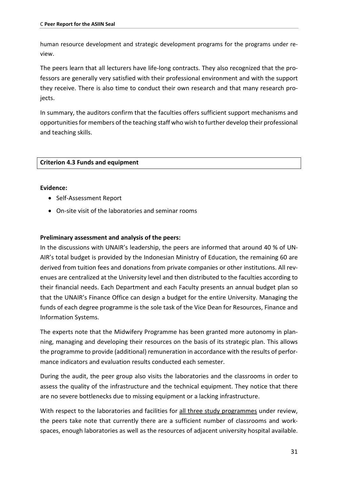human resource development and strategic development programs for the programs under review.

The peers learn that all lecturers have life-long contracts. They also recognized that the professors are generally very satisfied with their professional environment and with the support they receive. There is also time to conduct their own research and that many research projects.

In summary, the auditors confirm that the faculties offers sufficient support mechanisms and opportunities for members of the teaching staff who wish to further develop their professional and teaching skills.

# **Criterion 4.3 Funds and equipment**

#### **Evidence:**

- Self-Assessment Report
- On-site visit of the laboratories and seminar rooms

### **Preliminary assessment and analysis of the peers:**

In the discussions with UNAIR's leadership, the peers are informed that around 40 % of UN-AIR's total budget is provided by the Indonesian Ministry of Education, the remaining 60 are derived from tuition fees and donations from private companies or other institutions. All revenues are centralized at the University level and then distributed to the faculties according to their financial needs. Each Department and each Faculty presents an annual budget plan so that the UNAIR's Finance Office can design a budget for the entire University. Managing the funds of each degree programme is the sole task of the Vice Dean for Resources, Finance and Information Systems.

The experts note that the Midwifery Programme has been granted more autonomy in planning, managing and developing their resources on the basis of its strategic plan. This allows the programme to provide (additional) remuneration in accordance with the results of performance indicators and evaluation results conducted each semester.

During the audit, the peer group also visits the laboratories and the classrooms in order to assess the quality of the infrastructure and the technical equipment. They notice that there are no severe bottlenecks due to missing equipment or a lacking infrastructure.

With respect to the laboratories and facilities for all three study programmes under review, the peers take note that currently there are a sufficient number of classrooms and workspaces, enough laboratories as well as the resources of adjacent university hospital available.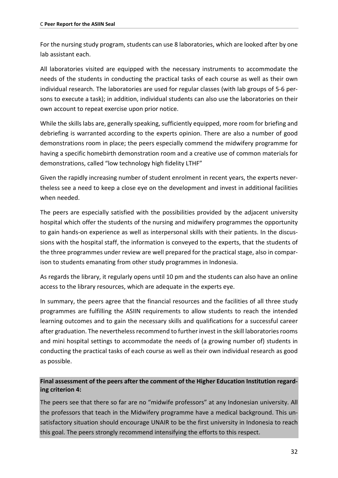For the nursing study program, students can use 8 laboratories, which are looked after by one lab assistant each.

All laboratories visited are equipped with the necessary instruments to accommodate the needs of the students in conducting the practical tasks of each course as well as their own individual research. The laboratories are used for regular classes (with lab groups of 5-6 persons to execute a task); in addition, individual students can also use the laboratories on their own account to repeat exercise upon prior notice.

While the skills labs are, generally speaking, sufficiently equipped, more room for briefing and debriefing is warranted according to the experts opinion. There are also a number of good demonstrations room in place; the peers especially commend the midwifery programme for having a specific homebirth demonstration room and a creative use of common materials for demonstrations, called "low technology high fidelity LTHF"

Given the rapidly increasing number of student enrolment in recent years, the experts nevertheless see a need to keep a close eye on the development and invest in additional facilities when needed.

The peers are especially satisfied with the possibilities provided by the adjacent university hospital which offer the students of the nursing and midwifery programmes the opportunity to gain hands-on experience as well as interpersonal skills with their patients. In the discussions with the hospital staff, the information is conveyed to the experts, that the students of the three programmes under review are well prepared for the practical stage, also in comparison to students emanating from other study programmes in Indonesia.

As regards the library, it regularly opens until 10 pm and the students can also have an online access to the library resources, which are adequate in the experts eye.

In summary, the peers agree that the financial resources and the facilities of all three study programmes are fulfilling the ASIIN requirements to allow students to reach the intended learning outcomes and to gain the necessary skills and qualifications for a successful career after graduation. The nevertheless recommend to further invest in the skill laboratories rooms and mini hospital settings to accommodate the needs of (a growing number of) students in conducting the practical tasks of each course as well as their own individual research as good as possible.

# **Final assessment of the peers after the comment of the Higher Education Institution regarding criterion 4:**

The peers see that there so far are no "midwife professors" at any Indonesian university. All the professors that teach in the Midwifery programme have a medical background. This unsatisfactory situation should encourage UNAIR to be the first university in Indonesia to reach this goal. The peers strongly recommend intensifying the efforts to this respect.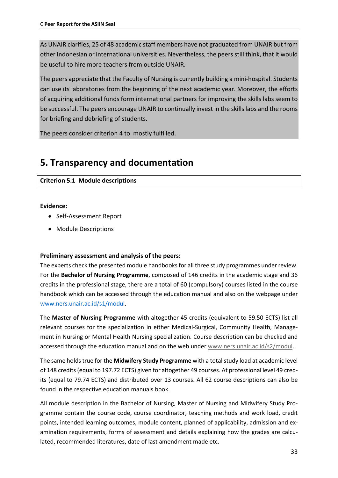As UNAIR clarifies, 25 of 48 academic staff members have not graduated from UNAIR but from other Indonesian or international universities. Nevertheless, the peers still think, that it would be useful to hire more teachers from outside UNAIR.

The peers appreciate that the Faculty of Nursing is currently building a mini-hospital. Students can use its laboratories from the beginning of the next academic year. Moreover, the efforts of acquiring additional funds form international partners for improving the skills labs seem to be successful. The peers encourage UNAIR to continually invest in the skills labs and the rooms for briefing and debriefing of students.

<span id="page-32-0"></span>The peers consider criterion 4 to mostly fulfilled.

# **5. Transparency and documentation**

# **Criterion 5.1 Module descriptions**

# **Evidence:**

- Self-Assessment Report
- Module Descriptions

# **Preliminary assessment and analysis of the peers:**

The experts check the presented module handbooks for all three study programmes under review. For the **Bachelor of Nursing Programme**, composed of 146 credits in the academic stage and 36 credits in the professional stage, there are a total of 60 (compulsory) courses listed in the course handbook which can be accessed through the education manual and also on the webpage under www.ners.unair.ac.id/s1/modul.

The **Master of Nursing Programme** with altogether 45 credits (equivalent to 59.50 ECTS) list all relevant courses for the specialization in either Medical-Surgical, Community Health, Management in Nursing or Mental Health Nursing specialization. Course description can be checked and accessed through the education manual and on the web under [www.ners.unair.ac.id/s2/modul.](http://www.ners.unair.ac.id/s2/modul)

The same holds true for the **Midwifery Study Programme** with a totalstudy load at academic level of 148 credits (equal to 197.72 ECTS) given for altogether 49 courses. At professional level 49 credits (equal to 79.74 ECTS) and distributed over 13 courses. All 62 course descriptions can also be found in the respective education manuals book.

All module description in the Bachelor of Nursing, Master of Nursing and Midwifery Study Programme contain the course code, course coordinator, teaching methods and work load, credit points, intended learning outcomes, module content, planned of applicability, admission and examination requirements, forms of assessment and details explaining how the grades are calculated, recommended literatures, date of last amendment made etc.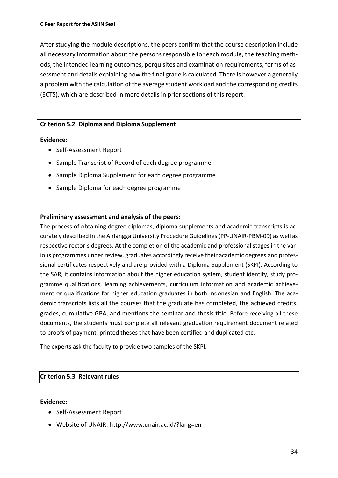After studying the module descriptions, the peers confirm that the course description include all necessary information about the persons responsible for each module, the teaching methods, the intended learning outcomes, perquisites and examination requirements, forms of assessment and details explaining how the final grade is calculated. There is however a generally a problem with the calculation of the average student workload and the corresponding credits (ECTS), which are described in more details in prior sections of this report.

#### **Criterion 5.2 Diploma and Diploma Supplement**

#### **Evidence:**

- Self-Assessment Report
- Sample Transcript of Record of each degree programme
- Sample Diploma Supplement for each degree programme
- Sample Diploma for each degree programme

#### **Preliminary assessment and analysis of the peers:**

The process of obtaining degree diplomas, diploma supplements and academic transcripts is accurately described in the Airlangga University Procedure Guidelines (PP-UNAIR-PBM-09) as well as respective rector´s degrees. At the completion of the academic and professional stages in the various programmes under review, graduates accordingly receive their academic degrees and professional certificates respectively and are provided with a Diploma Supplement (SKPI). According to the SAR, it contains information about the higher education system, student identity, study programme qualifications, learning achievements, curriculum information and academic achievement or qualifications for higher education graduates in both Indonesian and English. The academic transcripts lists all the courses that the graduate has completed, the achieved credits, grades, cumulative GPA, and mentions the seminar and thesis title. Before receiving all these documents, the students must complete all relevant graduation requirement document related to proofs of payment, printed theses that have been certified and duplicated etc.

The experts ask the faculty to provide two samples of the SKPI.

#### **Criterion 5.3 Relevant rules**

#### **Evidence:**

- Self-Assessment Report
- Website of UNAIR: http://www.unair.ac.id/?lang=en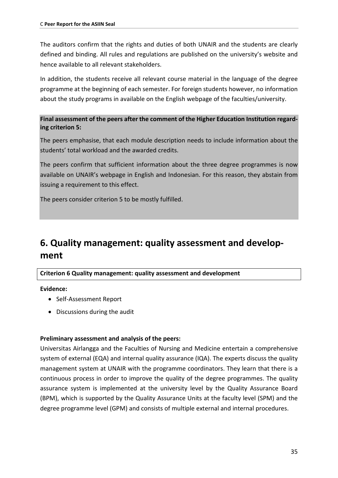The auditors confirm that the rights and duties of both UNAIR and the students are clearly defined and binding. All rules and regulations are published on the university's website and hence available to all relevant stakeholders.

In addition, the students receive all relevant course material in the language of the degree programme at the beginning of each semester. For foreign students however, no information about the study programs in available on the English webpage of the faculties/university.

# **Final assessment of the peers after the comment of the Higher Education Institution regarding criterion 5:**

The peers emphasise, that each module description needs to include information about the students' total workload and the awarded credits.

The peers confirm that sufficient information about the three degree programmes is now available on UNAIR's webpage in English and Indonesian. For this reason, they abstain from issuing a requirement to this effect.

The peers consider criterion 5 to be mostly fulfilled.

# <span id="page-34-0"></span>**6. Quality management: quality assessment and development**

# **Criterion 6 Quality management: quality assessment and development**

#### **Evidence:**

- Self-Assessment Report
- Discussions during the audit

# **Preliminary assessment and analysis of the peers:**

Universitas Airlangga and the Faculties of Nursing and Medicine entertain a comprehensive system of external (EQA) and internal quality assurance (IQA). The experts discuss the quality management system at UNAIR with the programme coordinators. They learn that there is a continuous process in order to improve the quality of the degree programmes. The quality assurance system is implemented at the university level by the Quality Assurance Board (BPM), which is supported by the Quality Assurance Units at the faculty level (SPM) and the degree programme level (GPM) and consists of multiple external and internal procedures.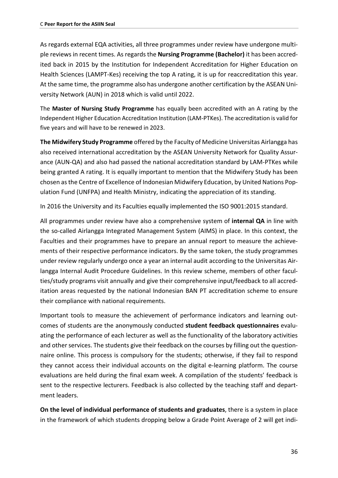As regards external EQA activities, all three programmes under review have undergone multiple reviews in recent times. As regards the **Nursing Programme (Bachelor)** it has been accredited back in 2015 by the Institution for Independent Accreditation for Higher Education on Health Sciences (LAMPT-Kes) receiving the top A rating, it is up for reaccreditation this year. At the same time, the programme also has undergone another certification by the ASEAN University Network (AUN) in 2018 which is valid until 2022.

The **Master of Nursing Study Programme** has equally been accredited with an A rating by the Independent Higher Education Accreditation Institution (LAM-PTKes). The accreditation is valid for five years and will have to be renewed in 2023.

**The Midwifery Study Programme** offered by the Faculty of Medicine Universitas Airlangga has also received international accreditation by the ASEAN University Network for Quality Assurance (AUN-QA) and also had passed the national accreditation standard by LAM-PTKes while being granted A rating. It is equally important to mention that the Midwifery Study has been chosen as the Centre of Excellence of Indonesian Midwifery Education, by United Nations Population Fund (UNFPA) and Health Ministry, indicating the appreciation of its standing.

In 2016 the University and its Faculties equally implemented the ISO 9001:2015 standard.

All programmes under review have also a comprehensive system of **internal QA** in line with the so-called Airlangga Integrated Management System (AIMS) in place. In this context, the Faculties and their programmes have to prepare an annual report to measure the achievements of their respective performance indicators. By the same token, the study programmes under review regularly undergo once a year an internal audit according to the Universitas Airlangga Internal Audit Procedure Guidelines. In this review scheme, members of other faculties/study programs visit annually and give their comprehensive input/feedback to all accreditation areas requested by the national Indonesian BAN PT accreditation scheme to ensure their compliance with national requirements.

Important tools to measure the achievement of performance indicators and learning outcomes of students are the anonymously conducted **student feedback questionnaires** evaluating the performance of each lecturer as well as the functionality of the laboratory activities and other services. The students give their feedback on the courses by filling out the questionnaire online. This process is compulsory for the students; otherwise, if they fail to respond they cannot access their individual accounts on the digital e-learning platform. The course evaluations are held during the final exam week. A compilation of the students' feedback is sent to the respective lecturers. Feedback is also collected by the teaching staff and department leaders.

**On the level of individual performance of students and graduates**, there is a system in place in the framework of which students dropping below a Grade Point Average of 2 will get indi-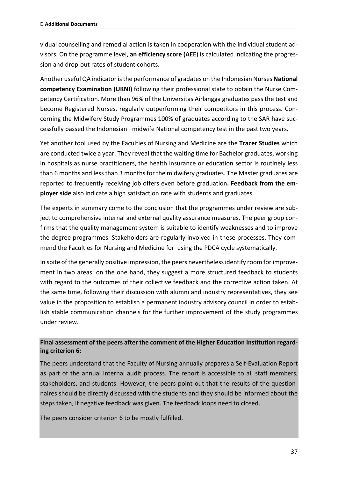vidual counselling and remedial action is taken in cooperation with the individual student advisors. On the programme level, **an efficiency score (AEE**) is calculated indicating the progression and drop-out rates of student cohorts.

Another useful QA indicator isthe performance of gradates on the Indonesian Nurses **National competency Examination (UKNI)** following their professional state to obtain the Nurse Competency Certification. More than 96% of the Universitas Airlangga graduates pass the test and become Registered Nurses, regularly outperforming their competitors in this process. Concerning the Midwifery Study Programmes 100% of graduates according to the SAR have successfully passed the Indonesian –midwife National competency test in the past two years.

Yet another tool used by the Faculties of Nursing and Medicine are the **Tracer Studies** which are conducted twice a year. They reveal that the waiting time for Bachelor graduates, working in hospitals as nurse practitioners, the health insurance or education sector is routinely less than 6 months and less than 3 months for the midwifery graduates. The Master graduates are reported to frequently receiving job offers even before graduation**. Feedback from the employer side** also indicate a high satisfaction rate with students and graduates.

The experts in summary come to the conclusion that the programmes under review are subject to comprehensive internal and external quality assurance measures. The peer group confirms that the quality management system is suitable to identify weaknesses and to improve the degree programmes. Stakeholders are regularly involved in these processes. They commend the Faculties for Nursing and Medicine for using the PDCA cycle systematically.

In spite of the generally positive impression, the peers nevertheless identify room for improvement in two areas: on the one hand, they suggest a more structured feedback to students with regard to the outcomes of their collective feedback and the corrective action taken. At the same time, following their discussion with alumni and industry representatives, they see value in the proposition to establish a permanent industry advisory council in order to establish stable communication channels for the further improvement of the study programmes under review.

## **Final assessment of the peers after the comment of the Higher Education Institution regarding criterion 6:**

The peers understand that the Faculty of Nursing annually prepares a Self-Evaluation Report as part of the annual internal audit process. The report is accessible to all staff members, stakeholders, and students. However, the peers point out that the results of the questionnaires should be directly discussed with the students and they should be informed about the steps taken, if negative feedback was given. The feedback loops need to closed.

The peers consider criterion 6 to be mostly fulfilled.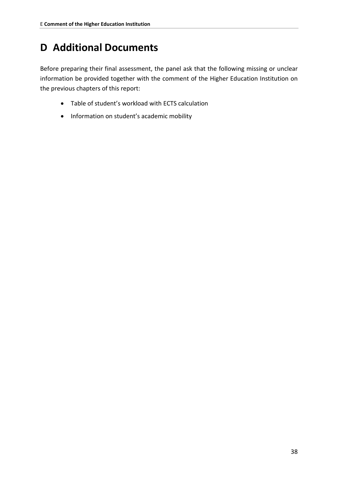# **D Additional Documents**

Before preparing their final assessment, the panel ask that the following missing or unclear information be provided together with the comment of the Higher Education Institution on the previous chapters of this report:

- Table of student's workload with ECTS calculation
- Information on student's academic mobility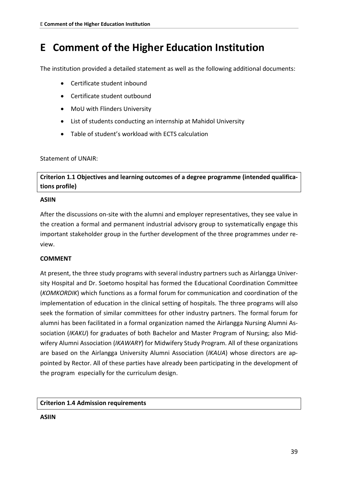# **E Comment of the Higher Education Institution**

The institution provided a detailed statement as well as the following additional documents:

- Certificate student inbound
- Certificate student outbound
- MoU with Flinders University
- List of students conducting an internship at Mahidol University
- Table of student's workload with ECTS calculation

### Statement of UNAIR:

**Criterion 1.1 Objectives and learning outcomes of a degree programme (intended qualifications profile)**

### **ASIIN**

After the discussions on-site with the alumni and employer representatives, they see value in the creation a formal and permanent industrial advisory group to systematically engage this important stakeholder group in the further development of the three programmes under review.

## **COMMENT**

At present, the three study programs with several industry partners such as Airlangga University Hospital and Dr. Soetomo hospital has formed the Educational Coordination Committee (*KOMKORDIK*) which functions as a formal forum for communication and coordination of the implementation of education in the clinical setting of hospitals. The three programs will also seek the formation of similar committees for other industry partners. The formal forum for alumni has been facilitated in a formal organization named the Airlangga Nursing Alumni Association (*IKAKU*) for graduates of both Bachelor and Master Program of Nursing; also Midwifery Alumni Association (*IKAWARY*) for Midwifery Study Program. All of these organizations are based on the Airlangga University Alumni Association (*IKAUA*) whose directors are appointed by Rector. All of these parties have already been participating in the development of the program especially for the curriculum design.

## **Criterion 1.4 Admission requirements**

#### **ASIIN**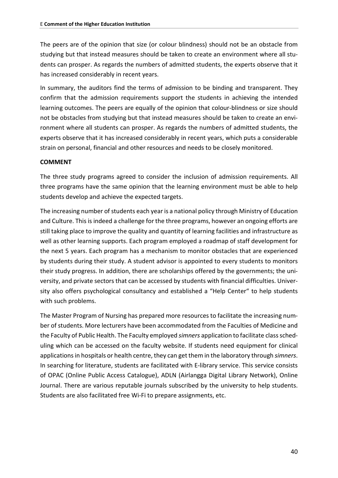The peers are of the opinion that size (or colour blindness) should not be an obstacle from studying but that instead measures should be taken to create an environment where all students can prosper. As regards the numbers of admitted students, the experts observe that it has increased considerably in recent years.

In summary, the auditors find the terms of admission to be binding and transparent. They confirm that the admission requirements support the students in achieving the intended learning outcomes. The peers are equally of the opinion that colour-blindness or size should not be obstacles from studying but that instead measures should be taken to create an environment where all students can prosper. As regards the numbers of admitted students, the experts observe that it has increased considerably in recent years, which puts a considerable strain on personal, financial and other resources and needs to be closely monitored.

#### **COMMENT**

The three study programs agreed to consider the inclusion of admission requirements. All three programs have the same opinion that the learning environment must be able to help students develop and achieve the expected targets.

The increasing number of students each year is a national policy through Ministry of Education and Culture. This is indeed a challenge for the three programs, however an ongoing efforts are still taking place to improve the quality and quantity of learning facilities and infrastructure as well as other learning supports. Each program employed a roadmap of staff development for the next 5 years. Each program has a mechanism to monitor obstacles that are experienced by students during their study. A student advisor is appointed to every students to monitors their study progress. In addition, there are scholarships offered by the governments; the university, and private sectors that can be accessed by students with financial difficulties. University also offers psychological consultancy and established a "Help Center" to help students with such problems.

The Master Program of Nursing has prepared more resources to facilitate the increasing number of students. More lecturers have been accommodated from the Faculties of Medicine and the Faculty of Public Health. The Faculty employed *simners* application to facilitate class scheduling which can be accessed on the faculty website. If students need equipment for clinical applications in hospitals or health centre, they can get them in the laboratory through *simners*. In searching for literature, students are facilitated with E-library service. This service consists of OPAC (Online Public Access Catalogue), ADLN (Airlangga Digital Library Network), Online Journal. There are various reputable journals subscribed by the university to help students. Students are also facilitated free Wi-Fi to prepare assignments, etc.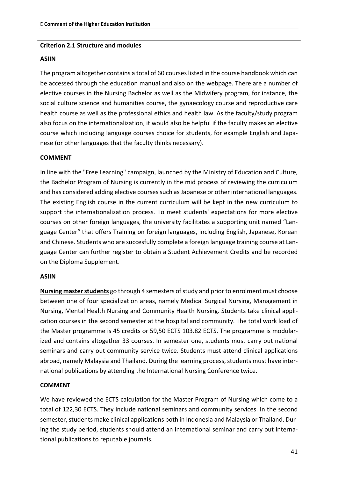#### **Criterion 2.1 Structure and modules**

#### **ASIIN**

The program altogether contains a total of 60 courses listed in the course handbook which can be accessed through the education manual and also on the webpage. There are a number of elective courses in the Nursing Bachelor as well as the Midwifery program, for instance, the social culture science and humanities course, the gynaecology course and reproductive care health course as well as the professional ethics and health law. As the faculty/study program also focus on the internationalization, it would also be helpful if the faculty makes an elective course which including language courses choice for students, for example English and Japanese (or other languages that the faculty thinks necessary).

#### **COMMENT**

In line with the "Free Learning" campaign, launched by the Ministry of Education and Culture, the Bachelor Program of Nursing is currently in the mid process of reviewing the curriculum and has considered adding elective courses such as Japanese or other international languages. The existing English course in the current curriculum will be kept in the new curriculum to support the internationalization process. To meet students' expectations for more elective courses on other foreign languages, the university facilitates a supporting unit named "Language Center" that offers Training on foreign languages, including English, Japanese, Korean and Chinese. Students who are succesfully complete a foreign language training course at Language Center can further register to obtain a Student Achievement Credits and be recorded on the Diploma Supplement.

#### **ASIIN**

**Nursing master students** go through 4 semesters of study and prior to enrolment must choose between one of four specialization areas, namely Medical Surgical Nursing, Management in Nursing, Mental Health Nursing and Community Health Nursing. Students take clinical application courses in the second semester at the hospital and community. The total work load of the Master programme is 45 credits or 59,50 ECTS 103.82 ECTS. The programme is modularized and contains altogether 33 courses. In semester one, students must carry out national seminars and carry out community service twice. Students must attend clinical applications abroad, namely Malaysia and Thailand. During the learning process, students must have international publications by attending the International Nursing Conference twice.

#### **COMMENT**

We have reviewed the ECTS calculation for the Master Program of Nursing which come to a total of 122,30 ECTS. They include national seminars and community services. In the second semester, students make clinical applications both in Indonesia and Malaysia or Thailand. During the study period, students should attend an international seminar and carry out international publications to reputable journals.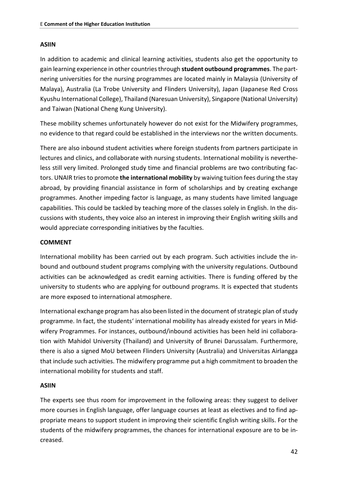#### **ASIIN**

In addition to academic and clinical learning activities, students also get the opportunity to gain learning experience in other countries through **student outbound programmes**. The partnering universities for the nursing programmes are located mainly in Malaysia (University of Malaya), Australia (La Trobe University and Flinders University), Japan (Japanese Red Cross Kyushu International College), Thailand (Naresuan University), Singapore (National University) and Taiwan (National Cheng Kung University).

These mobility schemes unfortunately however do not exist for the Midwifery programmes, no evidence to that regard could be established in the interviews nor the written documents.

There are also inbound student activities where foreign students from partners participate in lectures and clinics, and collaborate with nursing students. International mobility is nevertheless still very limited. Prolonged study time and financial problems are two contributing factors. UNAIR tries to promote **the international mobility** by waiving tuition fees during the stay abroad, by providing financial assistance in form of scholarships and by creating exchange programmes. Another impeding factor is language, as many students have limited language capabilities. This could be tackled by teaching more of the classes solely in English. In the discussions with students, they voice also an interest in improving their English writing skills and would appreciate corresponding initiatives by the faculties.

#### **COMMENT**

International mobility has been carried out by each program. Such activities include the inbound and outbound student programs complying with the university regulations. Outbound activities can be acknowledged as credit earning activities. There is funding offered by the university to students who are applying for outbound programs. It is expected that students are more exposed to international atmosphere.

International exchange program has also been listed in the document of strategic plan of study programme. In fact, the students' international mobility has already existed for years in Midwifery Programmes. For instances, outbound/inbound activities has been held ini collaboration with Mahidol University (Thailand) and University of Brunei Darussalam. Furthermore, there is also a signed MoU between Flinders University (Australia) and Universitas Airlangga that include such activities. The midwifery programme put a high commitment to broaden the international mobility for students and staff.

#### **ASIIN**

The experts see thus room for improvement in the following areas: they suggest to deliver more courses in English language, offer language courses at least as electives and to find appropriate means to support student in improving their scientific English writing skills. For the students of the midwifery programmes, the chances for international exposure are to be increased.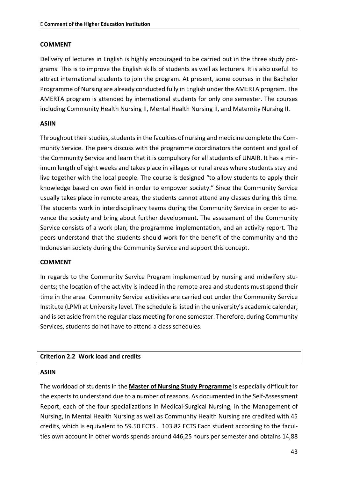#### **COMMENT**

Delivery of lectures in English is highly encouraged to be carried out in the three study programs. This is to improve the English skills of students as well as lecturers. It is also useful to attract international students to join the program. At present, some courses in the Bachelor Programme of Nursing are already conducted fully in English under the AMERTA program. The AMERTA program is attended by international students for only one semester. The courses including Community Health Nursing II, Mental Health Nursing II, and Maternity Nursing II.

#### **ASIIN**

Throughout their studies, students in the faculties of nursing and medicine complete the Community Service. The peers discuss with the programme coordinators the content and goal of the Community Service and learn that it is compulsory for all students of UNAIR. It has a minimum length of eight weeks and takes place in villages or rural areas where students stay and live together with the local people. The course is designed "to allow students to apply their knowledge based on own field in order to empower society." Since the Community Service usually takes place in remote areas, the students cannot attend any classes during this time. The students work in interdisciplinary teams during the Community Service in order to advance the society and bring about further development. The assessment of the Community Service consists of a work plan, the programme implementation, and an activity report. The peers understand that the students should work for the benefit of the community and the Indonesian society during the Community Service and support this concept.

#### **COMMENT**

In regards to the Community Service Program implemented by nursing and midwifery students; the location of the activity is indeed in the remote area and students must spend their time in the area. Community Service activities are carried out under the Community Service Institute (LPM) at University level. The schedule is listed in the university's academic calendar, and is set aside from the regular class meeting for one semester. Therefore, during Community Services, students do not have to attend a class schedules.

#### **Criterion 2.2 Work load and credits**

#### **ASIIN**

The workload of students in the **Master of Nursing Study Programme** is especially difficult for the experts to understand due to a number of reasons. As documented in the Self-Assessment Report, each of the four specializations in Medical-Surgical Nursing, in the Management of Nursing, in Mental Health Nursing as well as Community Health Nursing are credited with 45 credits, which is equivalent to 59.50 ECTS . 103.82 ECTS Each student according to the faculties own account in other words spends around 446,25 hours per semester and obtains 14,88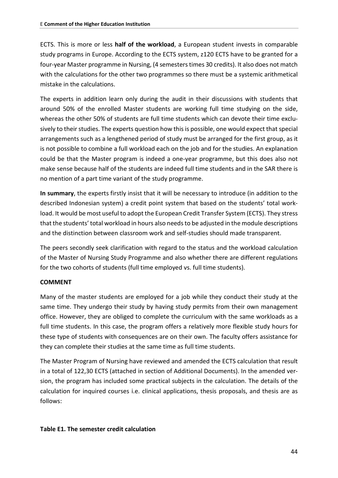ECTS. This is more or less **half of the workload**, a European student invests in comparable study programs in Europe. According to the ECTS system, z120 ECTS have to be granted for a four-year Master programme in Nursing, (4 semesters times 30 credits). It also does not match with the calculations for the other two programmes so there must be a systemic arithmetical mistake in the calculations.

The experts in addition learn only during the audit in their discussions with students that around 50% of the enrolled Master students are working full time studying on the side, whereas the other 50% of students are full time students which can devote their time exclusively to their studies. The experts question how this is possible, one would expect that special arrangements such as a lengthened period of study must be arranged for the first group, as it is not possible to combine a full workload each on the job and for the studies. An explanation could be that the Master program is indeed a one-year programme, but this does also not make sense because half of the students are indeed full time students and in the SAR there is no mention of a part time variant of the study programme.

**In summary**, the experts firstly insist that it will be necessary to introduce (in addition to the described Indonesian system) a credit point system that based on the students' total workload. It would be most useful to adopt the European Credit Transfer System (ECTS). They stress that the students' total workload in hours also needs to be adjusted in the module descriptions and the distinction between classroom work and self-studies should made transparent.

The peers secondly seek clarification with regard to the status and the workload calculation of the Master of Nursing Study Programme and also whether there are different regulations for the two cohorts of students (full time employed vs. full time students).

#### **COMMENT**

Many of the master students are employed for a job while they conduct their study at the same time. They undergo their study by having study permits from their own management office. However, they are obliged to complete the curriculum with the same workloads as a full time students. In this case, the program offers a relatively more flexible study hours for these type of students with consequences are on their own. The faculty offers assistance for they can complete their studies at the same time as full time students.

The Master Program of Nursing have reviewed and amended the ECTS calculation that result in a total of 122,30 ECTS (attached in section of Additional Documents). In the amended version, the program has included some practical subjects in the calculation. The details of the calculation for inquired courses i.e. clinical applications, thesis proposals, and thesis are as follows:

#### **Table E1. The semester credit calculation**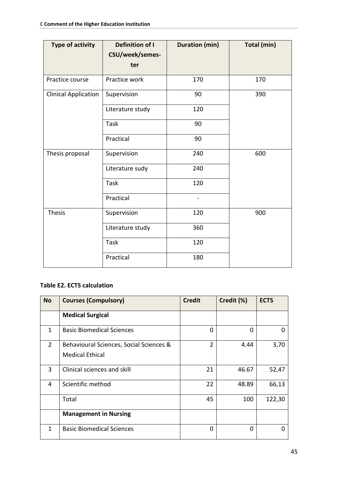| <b>Type of activity</b>     | <b>Definition of I</b><br>CSU/week/semes-<br>ter | <b>Duration (min)</b>    | Total (min) |
|-----------------------------|--------------------------------------------------|--------------------------|-------------|
| Practice course             | Practice work                                    | 170                      | 170         |
| <b>Clinical Application</b> | Supervision                                      | 90                       | 390         |
|                             | Literature study                                 | 120                      |             |
|                             | <b>Task</b>                                      | 90                       |             |
|                             | Practical                                        | 90                       |             |
| Thesis proposal             | Supervision                                      | 240                      | 600         |
|                             | Literature sudy                                  | 240                      |             |
|                             | <b>Task</b>                                      | 120                      |             |
|                             | Practical                                        | $\overline{\phantom{0}}$ |             |
| <b>Thesis</b>               | Supervision                                      | 120                      | 900         |
|                             | Literature study                                 | 360                      |             |
|                             | Task                                             | 120                      |             |
|                             | Practical                                        | 180                      |             |

## **Table E2. ECTS calculation**

| <b>No</b>    | <b>Courses (Compulsory)</b>                                       | <b>Credit</b>  | Credit (%) | <b>ECTS</b> |
|--------------|-------------------------------------------------------------------|----------------|------------|-------------|
|              | <b>Medical Surgical</b>                                           |                |            |             |
| $\mathbf{1}$ | <b>Basic Biomedical Sciences</b>                                  | 0              | 0          |             |
| 2            | Behavioural Sciences, Social Sciences &<br><b>Medical Ethical</b> | $\overline{2}$ | 4.44       | 3,70        |
| 3            | Clinical sciences and skill                                       | 21             | 46.67      | 52,47       |
| 4            | Scientific method                                                 | 22             | 48.89      | 66,13       |
|              | Total                                                             | 45             | 100        | 122,30      |
|              | <b>Management in Nursing</b>                                      |                |            |             |
| 1            | <b>Basic Biomedical Sciences</b>                                  | 0              | 0          |             |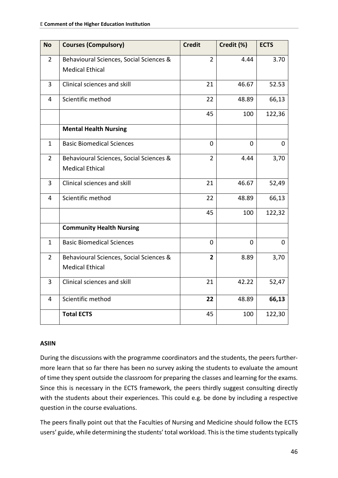| <b>No</b>      | <b>Courses (Compulsory)</b>             | <b>Credit</b>  | Credit (%) | <b>ECTS</b> |
|----------------|-----------------------------------------|----------------|------------|-------------|
| $\overline{2}$ | Behavioural Sciences, Social Sciences & | $\overline{2}$ | 4.44       | 3.70        |
|                | <b>Medical Ethical</b>                  |                |            |             |
| 3              | Clinical sciences and skill             | 21             | 46.67      | 52.53       |
| 4              | Scientific method                       | 22             | 48.89      | 66,13       |
|                |                                         | 45             | 100        | 122,36      |
|                | <b>Mental Health Nursing</b>            |                |            |             |
| $\mathbf{1}$   | <b>Basic Biomedical Sciences</b>        | $\Omega$       | 0          | $\Omega$    |
| $\overline{2}$ | Behavioural Sciences, Social Sciences & | $\overline{2}$ | 4.44       | 3,70        |
|                | <b>Medical Ethical</b>                  |                |            |             |
| 3              | Clinical sciences and skill             | 21             | 46.67      | 52,49       |
| 4              | Scientific method                       | 22             | 48.89      | 66,13       |
|                |                                         | 45             | 100        | 122,32      |
|                | <b>Community Health Nursing</b>         |                |            |             |
| $\mathbf{1}$   | <b>Basic Biomedical Sciences</b>        | $\mathbf{0}$   | 0          | 0           |
| $\overline{2}$ | Behavioural Sciences, Social Sciences & | $\overline{2}$ | 8.89       | 3,70        |
|                | <b>Medical Ethical</b>                  |                |            |             |
| 3              | Clinical sciences and skill             | 21             | 42.22      | 52,47       |
| 4              | Scientific method                       | 22             | 48.89      | 66,13       |
|                | <b>Total ECTS</b>                       | 45             | 100        | 122,30      |

#### **ASIIN**

During the discussions with the programme coordinators and the students, the peers furthermore learn that so far there has been no survey asking the students to evaluate the amount of time they spent outside the classroom for preparing the classes and learning for the exams. Since this is necessary in the ECTS framework, the peers thirdly suggest consulting directly with the students about their experiences. This could e.g. be done by including a respective question in the course evaluations.

The peers finally point out that the Faculties of Nursing and Medicine should follow the ECTS users' guide, while determining the students' total workload. This is the time students typically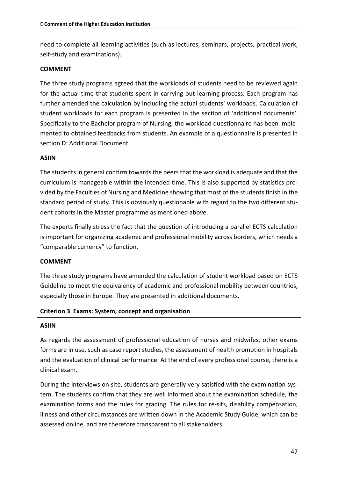need to complete all learning activities (such as lectures, seminars, projects, practical work, self-study and examinations).

#### **COMMENT**

The three study programs agreed that the workloads of students need to be reviewed again for the actual time that students spent in carrying out learning process. Each program has further amended the calculation by including the actual students' workloads. Calculation of student workloads for each program is presented in the section of 'additional documents'. Specifically to the Bachelor program of Nursing, the workload questionnaire has been implemented to obtained feedbacks from students. An example of a questionnaire is presented in section D: Additional Document.

#### **ASIIN**

The students in general confirm towards the peers that the workload is adequate and that the curriculum is manageable within the intended time. This is also supported by statistics provided by the Faculties of Nursing and Medicine showing that most of the students finish in the standard period of study. This is obviously questionable with regard to the two different student cohorts in the Master programme as mentioned above.

The experts finally stress the fact that the question of introducing a parallel ECTS calculation is important for organizing academic and professional mobility across borders, which needs a "comparable currency" to function.

#### **COMMENT**

The three study programs have amended the calculation of student workload based on ECTS Guideline to meet the equivalency of academic and professional mobility between countries, especially those in Europe. They are presented in additional documents.

#### **Criterion 3 Exams: System, concept and organisation**

#### **ASIIN**

As regards the assessment of professional education of nurses and midwifes, other exams forms are in use, such as case report studies, the assessment of health promotion in hospitals and the evaluation of clinical performance. At the end of every professional course, there is a clinical exam.

During the interviews on site, students are generally very satisfied with the examination system. The students confirm that they are well informed about the examination schedule, the examination forms and the rules for grading. The rules for re-sits, disability compensation, illness and other circumstances are written down in the Academic Study Guide, which can be assessed online, and are therefore transparent to all stakeholders.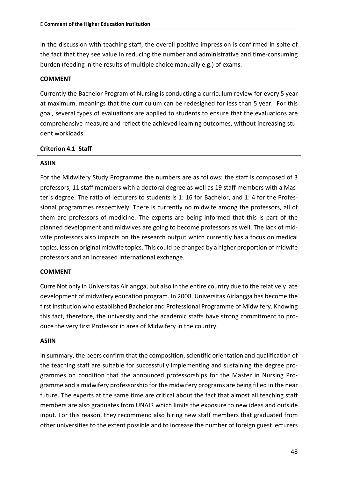In the discussion with teaching staff, the overall positive impression is confirmed in spite of the fact that they see value in reducing the number and administrative and time-consuming burden (feeding in the results of multiple choice manually e.g.) of exams.

#### **COMMENT**

Currently the Bachelor Program of Nursing is conducting a curriculum review for every 5 year at maximum, meanings that the curriculum can be redesigned for less than 5 year. For this goal, several types of evaluations are applied to students to ensure that the evaluations are comprehensive measure and reflect the achieved learning outcomes, without increasing student workloads.

#### **Criterion 4.1 Staff**

#### **ASIIN**

For the Midwifery Study Programme the numbers are as follows: the staff is composed of 3 professors, 11 staff members with a doctoral degree as well as 19 staff members with a Master´s degree. The ratio of lecturers to students is 1: 16 for Bachelor, and 1: 4 for the Professional programmes respectively. There is currently no midwife among the professors, all of them are professors of medicine. The experts are being informed that this is part of the planned development and midwives are going to become professors as well. The lack of midwife professors also impacts on the research output which currently has a focus on medical topics, less on original midwife topics. This could be changed by a higher proportion of midwife professors and an increased international exchange.

#### **COMMENT**

Curre Not only in Universitas Airlangga, but also in the entire country due to the relatively late development of midwifery education program. In 2008, Universitas Airlangga has become the first institution who established Bachelor and Professional Programme of Midwifery. Knowing this fact, therefore, the university and the academic staffs have strong commitment to produce the very first Professor in area of Midwifery in the country.

#### **ASIIN**

In summary, the peers confirm that the composition, scientific orientation and qualification of the teaching staff are suitable for successfully implementing and sustaining the degree programmes on condition that the announced professorships for the Master in Nursing Programme and a midwifery professorship for the midwifery programs are being filled in the near future. The experts at the same time are critical about the fact that almost all teaching staff members are also graduates from UNAIR which limits the exposure to new ideas and outside input. For this reason, they recommend also hiring new staff members that graduated from other universities to the extent possible and to increase the number of foreign guest lecturers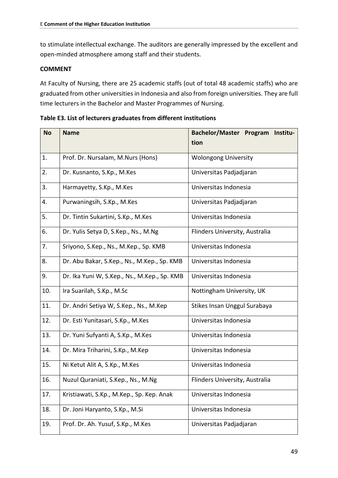to stimulate intellectual exchange. The auditors are generally impressed by the excellent and open-minded atmosphere among staff and their students.

#### **COMMENT**

At Faculty of Nursing, there are 25 academic staffs (out of total 48 academic staffs) who are graduated from other universities in Indonesia and also from foreign universities. They are full time lecturers in the Bachelor and Master Programmes of Nursing.

**Table E3. List of lecturers graduates from different institutions**

| <b>No</b> | <b>Name</b>                                  | Bachelor/Master Program<br>Institu- |  |
|-----------|----------------------------------------------|-------------------------------------|--|
|           |                                              | tion                                |  |
| 1.        | Prof. Dr. Nursalam, M.Nurs (Hons)            | <b>Wolongong University</b>         |  |
| 2.        | Dr. Kusnanto, S.Kp., M.Kes                   | Universitas Padjadjaran             |  |
| 3.        | Harmayetty, S.Kp., M.Kes                     | Universitas Indonesia               |  |
| 4.        | Purwaningsih, S.Kp., M.Kes                   | Universitas Padjadjaran             |  |
| 5.        | Dr. Tintin Sukartini, S.Kp., M.Kes           | Universitas Indonesia               |  |
| 6.        | Dr. Yulis Setya D, S.Kep., Ns., M.Ng         | Flinders University, Australia      |  |
| 7.        | Sriyono, S.Kep., Ns., M.Kep., Sp. KMB        | Universitas Indonesia               |  |
| 8.        | Dr. Abu Bakar, S.Kep., Ns., M.Kep., Sp. KMB  | Universitas Indonesia               |  |
| 9.        | Dr. Ika Yuni W, S.Kep., Ns., M.Kep., Sp. KMB | Universitas Indonesia               |  |
| 10.       | Ira Suarilah, S.Kp., M.Sc                    | Nottingham University, UK           |  |
| 11.       | Dr. Andri Setiya W, S.Kep., Ns., M.Kep       | Stikes Insan Unggul Surabaya        |  |
| 12.       | Dr. Esti Yunitasari, S.Kp., M.Kes            | Universitas Indonesia               |  |
| 13.       | Dr. Yuni Sufyanti A, S.Kp., M.Kes            | Universitas Indonesia               |  |
| 14.       | Dr. Mira Triharini, S.Kp., M.Kep             | Universitas Indonesia               |  |
| 15.       | Ni Ketut Alit A, S.Kp., M.Kes                | Universitas Indonesia               |  |
| 16.       | Nuzul Quraniati, S.Kep., Ns., M.Ng           | Flinders University, Australia      |  |
| 17.       | Kristiawati, S.Kp., M.Kep., Sp. Kep. Anak    | Universitas Indonesia               |  |
| 18.       | Dr. Joni Haryanto, S.Kp., M.Si               | Universitas Indonesia               |  |
| 19.       | Prof. Dr. Ah. Yusuf, S.Kp., M.Kes            | Universitas Padjadjaran             |  |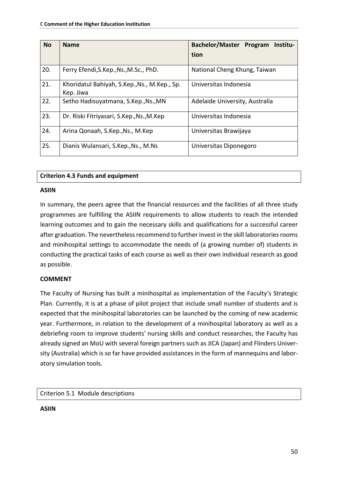| <b>No</b> | <b>Name</b>                                               | Bachelor/Master Program<br>Institu- |  |
|-----------|-----------------------------------------------------------|-------------------------------------|--|
|           |                                                           | tion                                |  |
| 20.       | Ferry Efendi, S.Kep., Ns., M.Sc., PhD.                    | National Cheng Khung, Taiwan        |  |
| 21.       | Khoridatul Bahiyah, S.Kep., Ns., M.Kep., Sp.<br>Kep. Jiwa | Universitas Indonesia               |  |
| 22.       | Setho Hadisuyatmana, S.Kep., Ns., MN                      | Adelaide University, Australia      |  |
| 23.       | Dr. Riski Fitriyasari, S.Kep., Ns., M.Kep                 | Universitas Indonesia               |  |
| 24.       | Arina Qonaah, S.Kep., Ns., M.Kep                          | Universitas Brawijaya               |  |
| 25.       | Dianis Wulansari, S.Kep., Ns., M.Ns.                      | Universitas Diponegoro              |  |

#### **Criterion 4.3 Funds and equipment**

#### **ASIIN**

In summary, the peers agree that the financial resources and the facilities of all three study programmes are fulfilling the ASIIN requirements to allow students to reach the intended learning outcomes and to gain the necessary skills and qualifications for a successful career after graduation. The nevertheless recommend to further invest in the skill laboratories rooms and minihospital settings to accommodate the needs of (a growing number of) students in conducting the practical tasks of each course as well as their own individual research as good as possible.

#### **COMMENT**

The Faculty of Nursing has built a minihospital as implementation of the Faculty's Strategic Plan. Currently, it is at a phase of pilot project that include small number of students and is expected that the minihospital laboratories can be launched by the coming of new academic year. Furthermore, in relation to the development of a minihospital laboratory as well as a debriefing room to improve students' nursing skills and conduct researches, the Faculty has already signed an MoU with several foreign partners such as JICA (Japan) and Flinders University (Australia) which is so far have provided assistances in the form of mannequins and laboratory simulation tools.

Criterion 5.1 Module descriptions

**ASIIN**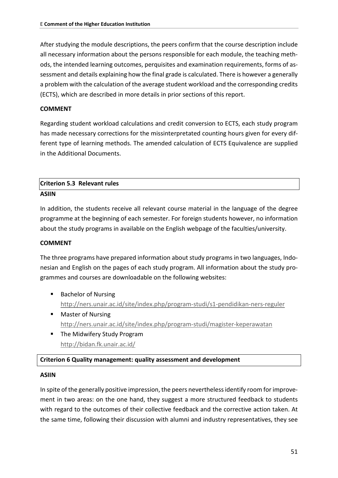After studying the module descriptions, the peers confirm that the course description include all necessary information about the persons responsible for each module, the teaching methods, the intended learning outcomes, perquisites and examination requirements, forms of assessment and details explaining how the final grade is calculated. There is however a generally a problem with the calculation of the average student workload and the corresponding credits (ECTS), which are described in more details in prior sections of this report.

#### **COMMENT**

Regarding student workload calculations and credit conversion to ECTS, each study program has made necessary corrections for the missinterpretated counting hours given for every different type of learning methods. The amended calculation of ECTS Equivalence are supplied in the Additional Documents.

# **Criterion 5.3 Relevant rules**

#### **ASIIN**

In addition, the students receive all relevant course material in the language of the degree programme at the beginning of each semester. For foreign students however, no information about the study programs in available on the English webpage of the faculties/university.

#### **COMMENT**

The three programs have prepared information about study programs in two languages, Indonesian and English on the pages of each study program. All information about the study programmes and courses are downloadable on the following websites:

- Bachelor of Nursing <http://ners.unair.ac.id/site/index.php/program-studi/s1-pendidikan-ners-reguler>
- Master of Nursing <http://ners.unair.ac.id/site/index.php/program-studi/magister-keperawatan>
- **The Midwifery Study Program** <http://bidan.fk.unair.ac.id/>

#### **Criterion 6 Quality management: quality assessment and development**

#### **ASIIN**

In spite of the generally positive impression, the peers nevertheless identify room for improvement in two areas: on the one hand, they suggest a more structured feedback to students with regard to the outcomes of their collective feedback and the corrective action taken. At the same time, following their discussion with alumni and industry representatives, they see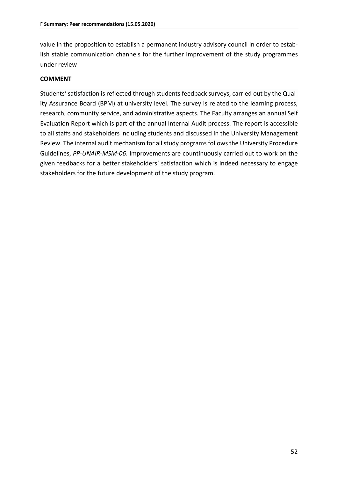value in the proposition to establish a permanent industry advisory council in order to establish stable communication channels for the further improvement of the study programmes under review

#### **COMMENT**

Students' satisfaction is reflected through students feedback surveys, carried out by the Quality Assurance Board (BPM) at university level. The survey is related to the learning process, research, community service, and administrative aspects. The Faculty arranges an annual Self Evaluation Report which is part of the annual Internal Audit process. The report is accessible to all staffs and stakeholders including students and discussed in the University Management Review. The internal audit mechanism for all study programs follows the University Procedure Guidelines, *PP-UNAIR-MSM-06*. Improvements are countinuously carried out to work on the given feedbacks for a better stakeholders' satisfaction which is indeed necessary to engage stakeholders for the future development of the study program.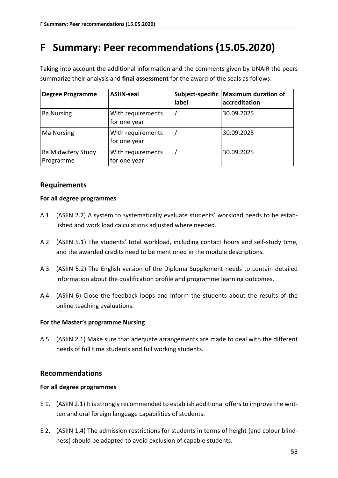## **F Summary: Peer recommendations (15.05.2020)**

Taking into account the additional information and the comments given by UNAIR the peers summarize their analysis and **final assessment** for the award of the seals as follows:

| <b>Degree Programme</b>         | <b>ASIIN-seal</b>                 | label | Subject-specific   Maximum duration of<br>accreditation |
|---------------------------------|-----------------------------------|-------|---------------------------------------------------------|
| <b>Ba Nursing</b>               | With requirements<br>for one year |       | 30.09.2025                                              |
| <b>Ma Nursing</b>               | With requirements<br>for one year |       | 30.09.2025                                              |
| Ba Midwifery Study<br>Programme | With requirements<br>for one year |       | 30.09.2025                                              |

## **Requirements**

#### **For all degree programmes**

- A 1. (ASIIN 2.2) A system to systematically evaluate students' workload needs to be established and work load calculations adjusted where needed.
- A 2. (ASIIN 5.1) The students' total workload, including contact hours and self-study time, and the awarded credits need to be mentioned in the module descriptions.
- A 3. (ASIIN 5.2) The English version of the Diploma Supplement needs to contain detailed information about the qualification profile and programme learning outcomes.
- A 4. (ASIIN 6) Close the feedback loops and inform the students about the results of the online teaching evaluations.

#### **For the Master's programme Nursing**

A 5. (ASIIN 2.1) Make sure that adequate arrangements are made to deal with the different needs of full time students and full working students.

## **Recommendations**

#### **For all degree programmes**

- E 1. (ASIIN 2.1) It is strongly recommended to establish additional offers to improve the written and oral foreign language capabilities of students.
- E 2. (ASIIN 1.4) The admission restrictions for students in terms of height (and colour blindness) should be adapted to avoid exclusion of capable students.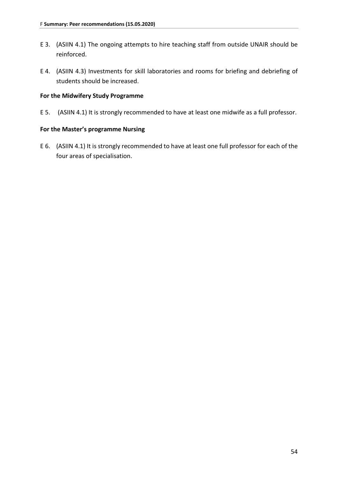- E 3. (ASIIN 4.1) The ongoing attempts to hire teaching staff from outside UNAIR should be reinforced.
- E 4. (ASIIN 4.3) Investments for skill laboratories and rooms for briefing and debriefing of students should be increased.

#### **For the Midwifery Study Programme**

E 5. (ASIIN 4.1) It is strongly recommended to have at least one midwife as a full professor.

#### **For the Master's programme Nursing**

E 6. (ASIIN 4.1) It is strongly recommended to have at least one full professor for each of the four areas of specialisation.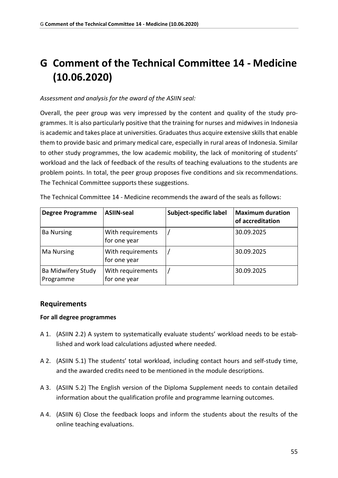# **G Comment of the Technical Committee 14 - Medicine (10.06.2020)**

#### *Assessment and analysis for the award of the ASIIN seal:*

Overall, the peer group was very impressed by the content and quality of the study programmes. It is also particularly positive that the training for nurses and midwives in Indonesia is academic and takes place at universities. Graduates thus acquire extensive skills that enable them to provide basic and primary medical care, especially in rural areas of Indonesia. Similar to other study programmes, the low academic mobility, the lack of monitoring of students' workload and the lack of feedback of the results of teaching evaluations to the students are problem points. In total, the peer group proposes five conditions and six recommendations. The Technical Committee supports these suggestions.

| <b>Degree Programme</b>         | <b>ASIIN-seal</b>                 | Subject-specific label | <b>Maximum duration</b><br>of accreditation |
|---------------------------------|-----------------------------------|------------------------|---------------------------------------------|
| <b>Ba Nursing</b>               | With requirements<br>for one year |                        | 30.09.2025                                  |
| <b>Ma Nursing</b>               | With requirements<br>for one year |                        | 30.09.2025                                  |
| Ba Midwifery Study<br>Programme | With requirements<br>for one year |                        | 30.09.2025                                  |

The Technical Committee 14 - Medicine recommends the award of the seals as follows:

## **Requirements**

#### **For all degree programmes**

- A 1. (ASIIN 2.2) A system to systematically evaluate students' workload needs to be established and work load calculations adjusted where needed.
- A 2. (ASIIN 5.1) The students' total workload, including contact hours and self-study time, and the awarded credits need to be mentioned in the module descriptions.
- A 3. (ASIIN 5.2) The English version of the Diploma Supplement needs to contain detailed information about the qualification profile and programme learning outcomes.
- A 4. (ASIIN 6) Close the feedback loops and inform the students about the results of the online teaching evaluations.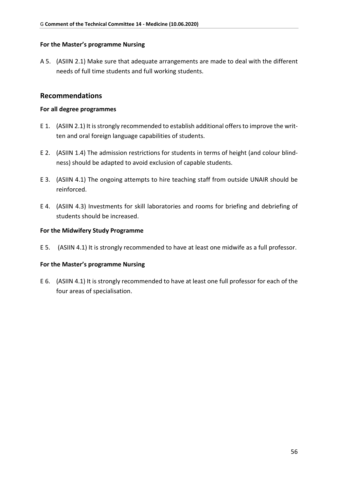#### **For the Master's programme Nursing**

A 5. (ASIIN 2.1) Make sure that adequate arrangements are made to deal with the different needs of full time students and full working students.

### **Recommendations**

#### **For all degree programmes**

- E 1. (ASIIN 2.1) It is strongly recommended to establish additional offers to improve the written and oral foreign language capabilities of students.
- E 2. (ASIIN 1.4) The admission restrictions for students in terms of height (and colour blindness) should be adapted to avoid exclusion of capable students.
- E 3. (ASIIN 4.1) The ongoing attempts to hire teaching staff from outside UNAIR should be reinforced.
- E 4. (ASIIN 4.3) Investments for skill laboratories and rooms for briefing and debriefing of students should be increased.

#### **For the Midwifery Study Programme**

E 5. (ASIIN 4.1) It is strongly recommended to have at least one midwife as a full professor.

#### **For the Master's programme Nursing**

E 6. (ASIIN 4.1) It is strongly recommended to have at least one full professor for each of the four areas of specialisation.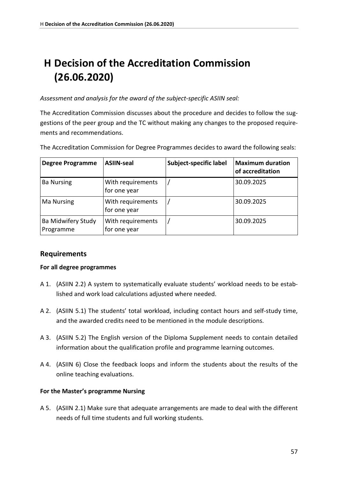# **H Decision of the Accreditation Commission (26.06.2020)**

*Assessment and analysis for the award of the subject-specific ASIIN seal:*

The Accreditation Commission discusses about the procedure and decides to follow the suggestions of the peer group and the TC without making any changes to the proposed requirements and recommendations.

The Accreditation Commission for Degree Programmes decides to award the following seals:

| <b>Degree Programme</b>         | <b>ASIIN-seal</b>                 | Subject-specific label | <b>Maximum duration</b><br>of accreditation |
|---------------------------------|-----------------------------------|------------------------|---------------------------------------------|
| <b>Ba Nursing</b>               | With requirements<br>for one year |                        | 30.09.2025                                  |
| <b>Ma Nursing</b>               | With requirements<br>for one year |                        | 30.09.2025                                  |
| Ba Midwifery Study<br>Programme | With requirements<br>for one year |                        | 30.09.2025                                  |

## **Requirements**

#### **For all degree programmes**

- A 1. (ASIIN 2.2) A system to systematically evaluate students' workload needs to be established and work load calculations adjusted where needed.
- A 2. (ASIIN 5.1) The students' total workload, including contact hours and self-study time, and the awarded credits need to be mentioned in the module descriptions.
- A 3. (ASIIN 5.2) The English version of the Diploma Supplement needs to contain detailed information about the qualification profile and programme learning outcomes.
- A 4. (ASIIN 6) Close the feedback loops and inform the students about the results of the online teaching evaluations.

#### **For the Master's programme Nursing**

A 5. (ASIIN 2.1) Make sure that adequate arrangements are made to deal with the different needs of full time students and full working students.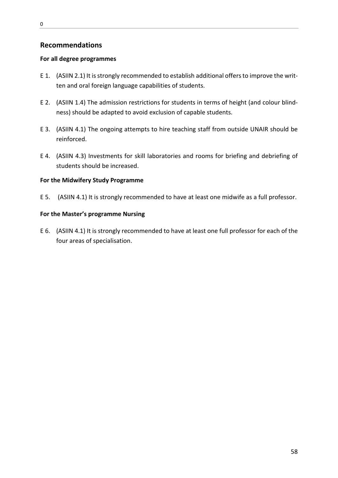## **Recommendations**

#### **For all degree programmes**

- E 1. (ASIIN 2.1) It is strongly recommended to establish additional offers to improve the written and oral foreign language capabilities of students.
- E 2. (ASIIN 1.4) The admission restrictions for students in terms of height (and colour blindness) should be adapted to avoid exclusion of capable students.
- E 3. (ASIIN 4.1) The ongoing attempts to hire teaching staff from outside UNAIR should be reinforced.
- E 4. (ASIIN 4.3) Investments for skill laboratories and rooms for briefing and debriefing of students should be increased.

#### **For the Midwifery Study Programme**

E 5. (ASIIN 4.1) It is strongly recommended to have at least one midwife as a full professor.

#### **For the Master's programme Nursing**

E 6. (ASIIN 4.1) It is strongly recommended to have at least one full professor for each of the four areas of specialisation.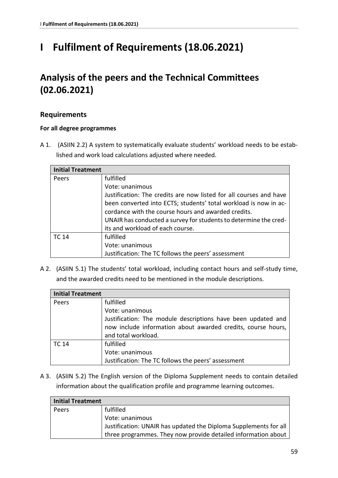# **I Fulfilment of Requirements (18.06.2021)**

## **Analysis of the peers and the Technical Committees (02.06.2021)**

## **Requirements**

### **For all degree programmes**

A 1. (ASIIN 2.2) A system to systematically evaluate students' workload needs to be established and work load calculations adjusted where needed.

| <b>Initial Treatment</b> |                                                                    |
|--------------------------|--------------------------------------------------------------------|
| Peers                    | fulfilled                                                          |
|                          | Vote: unanimous                                                    |
|                          | Justification: The credits are now listed for all courses and have |
|                          | been converted into ECTS; students' total workload is now in ac-   |
|                          | cordance with the course hours and awarded credits.                |
|                          | UNAIR has conducted a survey for students to determine the cred-   |
|                          | its and workload of each course.                                   |
| <b>TC 14</b>             | fulfilled                                                          |
|                          | Vote: unanimous                                                    |
|                          | Justification: The TC follows the peers' assessment                |

A 2. (ASIIN 5.1) The students' total workload, including contact hours and self-study time, and the awarded credits need to be mentioned in the module descriptions.

| <b>Initial Treatment</b> |                                                              |
|--------------------------|--------------------------------------------------------------|
| Peers                    | fulfilled                                                    |
|                          | Vote: unanimous                                              |
|                          | Justification: The module descriptions have been updated and |
|                          | now include information about awarded credits, course hours, |
|                          | and total workload.                                          |
| TC 14                    | fulfilled                                                    |
|                          | Vote: unanimous                                              |
|                          | Justification: The TC follows the peers' assessment          |

A 3. (ASIIN 5.2) The English version of the Diploma Supplement needs to contain detailed information about the qualification profile and programme learning outcomes.

| Initial Treatment |                                                                                     |
|-------------------|-------------------------------------------------------------------------------------|
| Peers             | fulfilled                                                                           |
|                   | Vote: unanimous<br>Justification: UNAIR has updated the Diploma Supplements for all |
|                   | three programmes. They now provide detailed information about                       |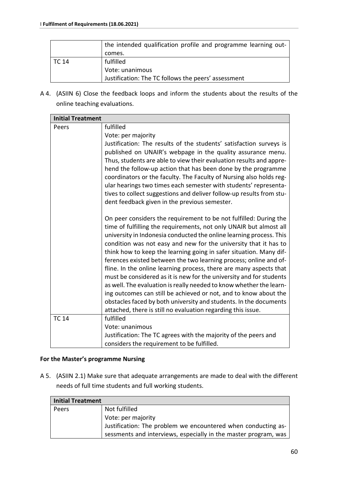|       | the intended qualification profile and programme learning out- |
|-------|----------------------------------------------------------------|
|       | comes.                                                         |
| TC 14 | fulfilled                                                      |
|       | Vote: unanimous                                                |
|       | Justification: The TC follows the peers' assessment            |

A 4. (ASIIN 6) Close the feedback loops and inform the students about the results of the online teaching evaluations.

| <b>Initial Treatment</b> |                                                                                                                                                                                                                                                                                                                                                                                                                                                                                                                                                                                                                                                                                                                                                                                                                                                            |
|--------------------------|------------------------------------------------------------------------------------------------------------------------------------------------------------------------------------------------------------------------------------------------------------------------------------------------------------------------------------------------------------------------------------------------------------------------------------------------------------------------------------------------------------------------------------------------------------------------------------------------------------------------------------------------------------------------------------------------------------------------------------------------------------------------------------------------------------------------------------------------------------|
| Peers                    | fulfilled                                                                                                                                                                                                                                                                                                                                                                                                                                                                                                                                                                                                                                                                                                                                                                                                                                                  |
|                          | Vote: per majority                                                                                                                                                                                                                                                                                                                                                                                                                                                                                                                                                                                                                                                                                                                                                                                                                                         |
|                          | Justification: The results of the students' satisfaction surveys is<br>published on UNAIR's webpage in the quality assurance menu.<br>Thus, students are able to view their evaluation results and appre-<br>hend the follow-up action that has been done by the programme<br>coordinators or the faculty. The Faculty of Nursing also holds reg-<br>ular hearings two times each semester with students' representa-<br>tives to collect suggestions and deliver follow-up results from stu-<br>dent feedback given in the previous semester.                                                                                                                                                                                                                                                                                                             |
|                          | On peer considers the requirement to be not fulfilled: During the<br>time of fulfilling the requirements, not only UNAIR but almost all<br>university in Indonesia conducted the online learning process. This<br>condition was not easy and new for the university that it has to<br>think how to keep the learning going in safer situation. Many dif-<br>ferences existed between the two learning process; online and of-<br>fline. In the online learning process, there are many aspects that<br>must be considered as it is new for the university and for students<br>as well. The evaluation is really needed to know whether the learn-<br>ing outcomes can still be achieved or not, and to know about the<br>obstacles faced by both university and students. In the documents<br>attached, there is still no evaluation regarding this issue. |
| <b>TC 14</b>             | fulfilled                                                                                                                                                                                                                                                                                                                                                                                                                                                                                                                                                                                                                                                                                                                                                                                                                                                  |
|                          | Vote: unanimous                                                                                                                                                                                                                                                                                                                                                                                                                                                                                                                                                                                                                                                                                                                                                                                                                                            |
|                          | Justification: The TC agrees with the majority of the peers and                                                                                                                                                                                                                                                                                                                                                                                                                                                                                                                                                                                                                                                                                                                                                                                            |
|                          | considers the requirement to be fulfilled.                                                                                                                                                                                                                                                                                                                                                                                                                                                                                                                                                                                                                                                                                                                                                                                                                 |

#### **For the Master's programme Nursing**

A 5. (ASIIN 2.1) Make sure that adequate arrangements are made to deal with the different needs of full time students and full working students.

| <b>Initial Treatment</b> |                                                                 |  |  |  |  |  |  |  |
|--------------------------|-----------------------------------------------------------------|--|--|--|--|--|--|--|
| Peers                    | Not fulfilled                                                   |  |  |  |  |  |  |  |
|                          | Vote: per majority                                              |  |  |  |  |  |  |  |
|                          | Justification: The problem we encountered when conducting as-   |  |  |  |  |  |  |  |
|                          | sessments and interviews, especially in the master program, was |  |  |  |  |  |  |  |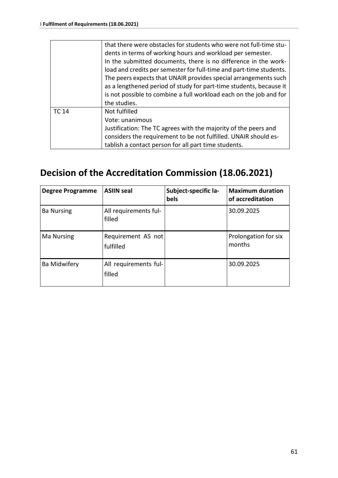|              | that there were obstacles for students who were not full-time stu-<br>dents in terms of working hours and workload per semester.<br>In the submitted documents, there is no difference in the work-                                                                                                |
|--------------|----------------------------------------------------------------------------------------------------------------------------------------------------------------------------------------------------------------------------------------------------------------------------------------------------|
|              | load and credits per semester for full-time and part-time students.<br>The peers expects that UNAIR provides special arrangements such<br>as a lengthened period of study for part-time students, because it<br>is not possible to combine a full workload each on the job and for<br>the studies. |
| <b>TC 14</b> | Not fulfilled<br>Vote: unanimous<br>Justification: The TC agrees with the majority of the peers and<br>considers the requirement to be not fulfilled. UNAIR should es-<br>tablish a contact person for all part time students.                                                                     |

## **Decision of the Accreditation Commission (18.06.2021)**

| <b>Degree Programme</b> | <b>ASIIN seal</b>               | Subject-specific la-<br>bels | <b>Maximum duration</b><br>of accreditation |
|-------------------------|---------------------------------|------------------------------|---------------------------------------------|
| <b>Ba Nursing</b>       | All requirements ful-<br>filled |                              | 30.09.2025                                  |
| <b>Ma Nursing</b>       | Requirement A5 not<br>fulfilled |                              | Prolongation for six<br>months              |
| <b>Ba Midwifery</b>     | All requirements ful-<br>filled |                              | 30.09.2025                                  |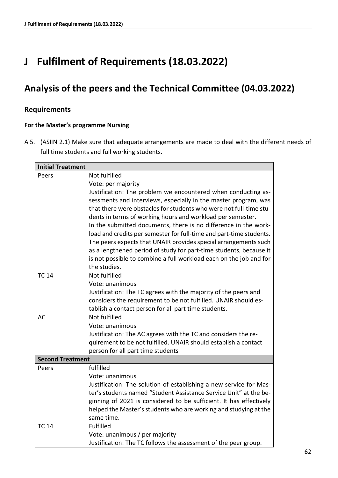# **J Fulfilment of Requirements (18.03.2022)**

## **Analysis of the peers and the Technical Committee (04.03.2022)**

## **Requirements**

#### **For the Master's programme Nursing**

A 5. (ASIIN 2.1) Make sure that adequate arrangements are made to deal with the different needs of full time students and full working students.

| <b>Initial Treatment</b> |                                                                                                                                                                                                                                                                                                                                                    |
|--------------------------|----------------------------------------------------------------------------------------------------------------------------------------------------------------------------------------------------------------------------------------------------------------------------------------------------------------------------------------------------|
| Peers                    | Not fulfilled                                                                                                                                                                                                                                                                                                                                      |
|                          | Vote: per majority                                                                                                                                                                                                                                                                                                                                 |
|                          | Justification: The problem we encountered when conducting as-                                                                                                                                                                                                                                                                                      |
|                          | sessments and interviews, especially in the master program, was                                                                                                                                                                                                                                                                                    |
|                          | that there were obstacles for students who were not full-time stu-                                                                                                                                                                                                                                                                                 |
|                          | dents in terms of working hours and workload per semester.                                                                                                                                                                                                                                                                                         |
|                          | In the submitted documents, there is no difference in the work-                                                                                                                                                                                                                                                                                    |
|                          | load and credits per semester for full-time and part-time students.                                                                                                                                                                                                                                                                                |
|                          | The peers expects that UNAIR provides special arrangements such                                                                                                                                                                                                                                                                                    |
|                          | as a lengthened period of study for part-time students, because it                                                                                                                                                                                                                                                                                 |
|                          | is not possible to combine a full workload each on the job and for                                                                                                                                                                                                                                                                                 |
|                          | the studies.                                                                                                                                                                                                                                                                                                                                       |
| <b>TC 14</b>             | Not fulfilled                                                                                                                                                                                                                                                                                                                                      |
|                          | Vote: unanimous                                                                                                                                                                                                                                                                                                                                    |
|                          | Justification: The TC agrees with the majority of the peers and                                                                                                                                                                                                                                                                                    |
|                          | considers the requirement to be not fulfilled. UNAIR should es-                                                                                                                                                                                                                                                                                    |
|                          | tablish a contact person for all part time students.                                                                                                                                                                                                                                                                                               |
| <b>AC</b>                | Not fulfilled                                                                                                                                                                                                                                                                                                                                      |
|                          | Vote: unanimous                                                                                                                                                                                                                                                                                                                                    |
|                          | Justification: The AC agrees with the TC and considers the re-                                                                                                                                                                                                                                                                                     |
|                          | quirement to be not fulfilled. UNAIR should establish a contact                                                                                                                                                                                                                                                                                    |
|                          | person for all part time students                                                                                                                                                                                                                                                                                                                  |
| <b>Second Treatment</b>  |                                                                                                                                                                                                                                                                                                                                                    |
| Peers                    | fulfilled                                                                                                                                                                                                                                                                                                                                          |
|                          | Vote: unanimous                                                                                                                                                                                                                                                                                                                                    |
|                          | Justification: The solution of establishing a new service for Mas-                                                                                                                                                                                                                                                                                 |
|                          |                                                                                                                                                                                                                                                                                                                                                    |
|                          |                                                                                                                                                                                                                                                                                                                                                    |
|                          |                                                                                                                                                                                                                                                                                                                                                    |
|                          |                                                                                                                                                                                                                                                                                                                                                    |
|                          |                                                                                                                                                                                                                                                                                                                                                    |
|                          |                                                                                                                                                                                                                                                                                                                                                    |
| <b>TC 14</b>             | ter's students named "Student Assistance Service Unit" at the be-<br>ginning of 2021 is considered to be sufficient. It has effectively<br>helped the Master's students who are working and studying at the<br>same time.<br><b>Fulfilled</b><br>Vote: unanimous / per majority<br>Justification: The TC follows the assessment of the peer group. |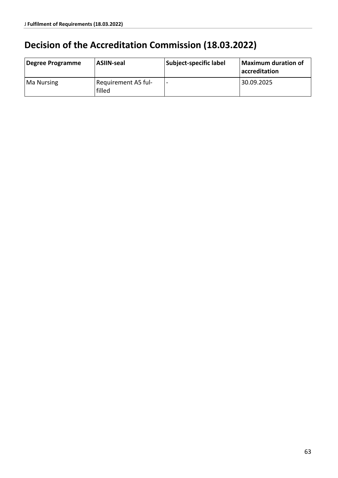# **Decision of the Accreditation Commission (18.03.2022)**

| Degree Programme  | <b>ASIIN-seal</b>             | Subject-specific label | Maximum duration of<br>accreditation |
|-------------------|-------------------------------|------------------------|--------------------------------------|
| <b>Ma Nursing</b> | Requirement A5 ful-<br>filled |                        | 30.09.2025                           |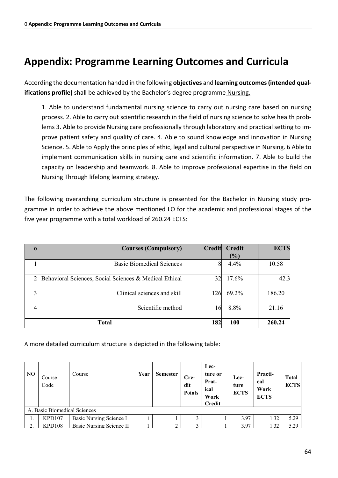# **Appendix: Programme Learning Outcomes and Curricula**

According the documentation handed in the following **objectives** and **learning outcomes (intended qualifications profile)** shall be achieved by the Bachelor's degree programme Nursing.

1. Able to understand fundamental nursing science to carry out nursing care based on nursing process. 2. Able to carry out scientific research in the field of nursing science to solve health problems 3. Able to provide Nursing care professionally through laboratory and practical setting to improve patient safety and quality of care. 4. Able to sound knowledge and innovation in Nursing Science. 5. Able to Apply the principles of ethic, legal and cultural perspective in Nursing. 6 Able to implement communication skills in nursing care and scientific information. 7. Able to build the capacity on leadership and teamwork. 8. Able to improve professional expertise in the field on Nursing Through lifelong learning strategy.

The following overarching curriculum structure is presented for the Bachelor in Nursing study programme in order to achieve the above mentioned LO for the academic and professional stages of the five year programme with a total workload of 260.24 ECTS:

| <b>Courses (Compulsory)</b>                            | Credit | <b>Credit</b> | <b>ECTS</b> |
|--------------------------------------------------------|--------|---------------|-------------|
|                                                        |        | (%)           |             |
| <b>Basic Biomedical Sciences</b>                       |        | 4.4%          | 10.58       |
| Behavioral Sciences, Social Sciences & Medical Ethical | 32     | 17.6%         | 42.3        |
| Clinical sciences and skill                            | 126    | 69.2%         | 186.20      |
| Scientific method                                      | 16     | 8.8%          | 21.16       |
| <b>Total</b>                                           | 182    | <b>100</b>    | 260.24      |

A more detailed curriculum structure is depicted in the following table:

| N <sub>O</sub> | Course<br>Code               | Course                   | Year | <b>Semester</b> | $Cre-$<br>dit<br><b>Points</b> | Lec-<br>ture or<br>Prat-<br>ical<br>Work<br><b>Credit</b> | Lec-<br>ture<br><b>ECTS</b> | Practi-<br>cal<br>Work<br><b>ECTS</b> | <b>Total</b><br><b>ECTS</b> |
|----------------|------------------------------|--------------------------|------|-----------------|--------------------------------|-----------------------------------------------------------|-----------------------------|---------------------------------------|-----------------------------|
|                | A. Basic Biomedical Sciences |                          |      |                 |                                |                                                           |                             |                                       |                             |
|                | KPD107                       | Basic Nursing Science I  |      |                 |                                |                                                           | 3.97                        | 1.32                                  | 5.29                        |
| C.             | PD108                        | Basic Nursing Science II |      |                 | ◠                              |                                                           | 3.97                        | .32                                   | 5.29                        |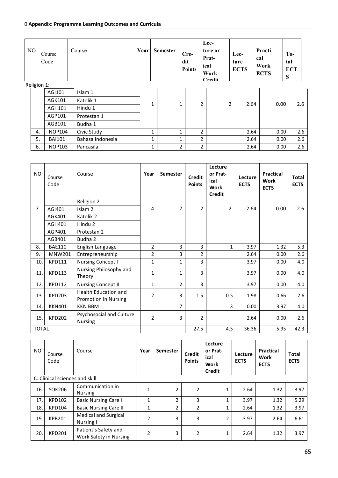| NO          |    | Course<br>Code | Course           | Year | <b>Semester</b> |                | Cre-<br>dit<br><b>Points</b> |                | Lec-<br>ture or<br>Prat-<br>ical<br>Work<br><b>Credit</b> | Lec-<br>ture<br><b>ECTS</b> |      | Practi-<br>cal<br>Work<br><b>ECTS</b> | S    | $To-$<br>tal<br><b>ECT</b> |
|-------------|----|----------------|------------------|------|-----------------|----------------|------------------------------|----------------|-----------------------------------------------------------|-----------------------------|------|---------------------------------------|------|----------------------------|
| Religion 1: |    | AGI101         | Islam 1          |      |                 |                |                              |                |                                                           |                             |      |                                       |      |                            |
|             |    |                |                  |      |                 |                |                              |                |                                                           |                             |      |                                       |      |                            |
|             |    | AGK101         | Katolik 1        |      | 1               | $\mathbf{1}$   |                              | 2              | 2                                                         |                             | 2.64 |                                       | 0.00 | 2.6                        |
|             |    | AGH101         | Hindu 1          |      |                 |                |                              |                |                                                           |                             |      |                                       |      |                            |
|             |    | AGP101         | Protestan 1      |      |                 |                |                              |                |                                                           |                             |      |                                       |      |                            |
|             |    | AGB101         | Budha 1          |      |                 |                |                              |                |                                                           |                             |      |                                       |      |                            |
|             | 4. | <b>NOP104</b>  | Civic Study      |      | 1               | $\mathbf{1}$   |                              | 2              |                                                           |                             | 2.64 |                                       | 0.00 | 2.6                        |
|             | 5. | <b>BAI101</b>  | Bahasa Indonesia |      | $\mathbf{1}$    | 1              |                              | $\overline{2}$ |                                                           |                             | 2.64 |                                       | 0.00 | 2.6                        |
|             | 6. | <b>NOP103</b>  | Pancasila        |      | 1               | $\overline{2}$ |                              | $\overline{2}$ |                                                           |                             | 2.64 |                                       | 0.00 | 2.6                        |

| NO.          | Course<br>Code | Course                                       | Year           | <b>Semester</b> | <b>Credit</b><br><b>Points</b> | Lecture<br>or Prat-<br>ical<br><b>Work</b><br><b>Credit</b> | Lecture<br><b>ECTS</b> | <b>Practical</b><br>Work<br><b>ECTS</b> | <b>Total</b><br><b>ECTS</b> |
|--------------|----------------|----------------------------------------------|----------------|-----------------|--------------------------------|-------------------------------------------------------------|------------------------|-----------------------------------------|-----------------------------|
|              |                | Religion 2                                   |                |                 |                                |                                                             |                        |                                         |                             |
| 7.           | AGI401         | Islam <sub>2</sub>                           | 4              | 7               | $\overline{2}$                 | $\overline{2}$                                              | 2.64                   | 0.00                                    | 2.6                         |
|              | AGK401         | Katolik 2                                    |                |                 |                                |                                                             |                        |                                         |                             |
|              | AGH401         | Hindu 2                                      |                |                 |                                |                                                             |                        |                                         |                             |
|              | AGP401         | Protestan 2                                  |                |                 |                                |                                                             |                        |                                         |                             |
|              | AGB401         | Budha 2                                      |                |                 |                                |                                                             |                        |                                         |                             |
| 8.           | <b>BAE110</b>  | English Language                             | $\overline{2}$ | 3               | 3                              | $\mathbf 1$                                                 | 3.97                   | 1.32                                    | 5.3                         |
| 9.           | MNW201         | Entrepreneurship                             | 2              | 3               | $\overline{2}$                 |                                                             | 2.64                   | 0.00                                    | 2.6                         |
| 10.          | <b>KPD111</b>  | <b>Nursing Concept I</b>                     | 1              | 1               | 3                              |                                                             | 3.97                   | 0.00                                    | 4.0                         |
| 11.          | <b>KPD113</b>  | Nursing Philosophy and<br>Theory             | $\mathbf{1}$   | $\mathbf{1}$    | 3                              |                                                             | 3.97                   | 0.00                                    | 4.0                         |
| 12.          | <b>KPD112</b>  | <b>Nursing Concept II</b>                    | $\mathbf{1}$   | $\overline{2}$  | 3                              |                                                             | 3.97                   | 0.00                                    | 4.0                         |
| 13.          | <b>KPD203</b>  | Health Education and<br>Promotion in Nursing | 2              | 3               | 1.5                            | 0.5                                                         | 1.98                   | 0.66                                    | 2.6                         |
| 14.          | <b>KKN401</b>  | <b>KKN BBM</b>                               |                | $\overline{7}$  |                                | 3                                                           | 0.00                   | 3.97                                    | 4.0                         |
| 15.          | <b>KPD202</b>  | Psychosocial and Culture<br>Nursing          | 2              | 3               | 2                              |                                                             | 2.64                   | 0.00                                    | 2.6                         |
| <b>TOTAL</b> |                |                                              |                |                 | 27.5                           | 4.5                                                         | 36.36                  | 5.95                                    | 42.3                        |

| NO. | Course<br>Code                 | Course                                         | Year         | <b>Semester</b> | <b>Credit</b><br><b>Points</b> | Lecture<br>or Prat-<br>ical<br>Work<br><b>Credit</b> | Lecture<br><b>ECTS</b> | <b>Practical</b><br>Work<br><b>ECTS</b> | Total<br><b>ECTS</b> |
|-----|--------------------------------|------------------------------------------------|--------------|-----------------|--------------------------------|------------------------------------------------------|------------------------|-----------------------------------------|----------------------|
|     | C. Clinical sciences and skill |                                                |              |                 |                                |                                                      |                        |                                         |                      |
| 16. | SOK206                         | Communication in<br><b>Nursing</b>             |              | 2               | $\overline{2}$                 |                                                      | 2.64                   | 1.32                                    | 3.97                 |
| 17  | KPD102                         | <b>Basic Nursing Care I</b>                    | $\mathbf{1}$ | 2               | 3                              | 1                                                    | 3.97                   | 1.32                                    | 5.29                 |
| 18. | <b>KPD104</b>                  | <b>Basic Nursing Care II</b>                   | $\mathbf{1}$ | 2               | $\overline{2}$                 | 1                                                    | 2.64                   | 1.32                                    | 3.97                 |
| 19  | <b>KPB201</b>                  | <b>Medical and Surgical</b><br>Nursing I       | 2            | 3               | 3                              | $\overline{2}$                                       | 3.97                   | 2.64                                    | 6.61                 |
| 20. | <b>KPD201</b>                  | Patient's Safety and<br>Work Safety in Nursing | 2            | 3               | $\overline{2}$                 | 1                                                    | 2.64                   | 1.32                                    | 3.97                 |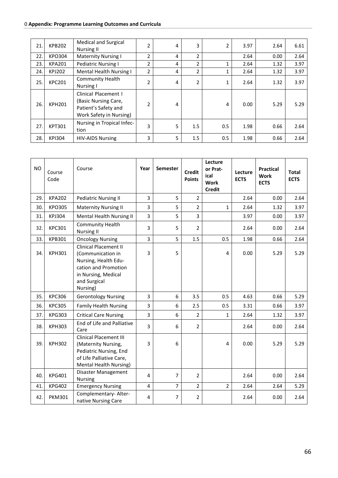#### 0 **Appendix: Programme Learning Outcomes and Curricula**

| 21. | <b>KPB202</b> | <b>Medical and Surgical</b><br><b>Nursing II</b>                                                |                | 4 | 3              | 2   | 3.97 | 2.64 | 6.61 |
|-----|---------------|-------------------------------------------------------------------------------------------------|----------------|---|----------------|-----|------|------|------|
| 22. | <b>KPO304</b> | <b>Maternity Nursing I</b>                                                                      | 2              | 4 | $\overline{2}$ |     | 2.64 | 0.00 | 2.64 |
| 23. | <b>KPA201</b> | <b>Pediatric Nursing I</b>                                                                      | 2              | 4 | 2              | 1   | 2.64 | 1.32 | 3.97 |
| 24. | <b>KPJ202</b> | <b>Mental Health Nursing I</b>                                                                  | $\overline{2}$ | 4 | 2              |     | 2.64 | 1.32 | 3.97 |
| 25. | <b>KPC201</b> | <b>Community Health</b><br><b>Nursing I</b>                                                     | $\mathcal{P}$  | 4 | $\overline{2}$ | 1   | 2.64 | 1.32 | 3.97 |
| 26. | <b>KPH201</b> | Clinical Placement I<br>(Basic Nursing Care,<br>Patient's Safety and<br>Work Safety in Nursing) | 2              | 4 |                | 4   | 0.00 | 5.29 | 5.29 |
| 27. | <b>KPT301</b> | Nursing in Tropical Infec-<br>tion                                                              | 3              | 5 | 1.5            | 0.5 | 1.98 | 0.66 | 2.64 |
| 28. | <b>KPI304</b> | <b>HIV-AIDS Nursing</b>                                                                         | 3              | 5 | 1.5            | 0.5 | 1.98 | 0.66 | 2.64 |

| <b>NO</b> | Course<br>Code | Course                                                                                                                                               | Year           | Semester       | <b>Credit</b><br><b>Points</b> | Lecture<br>or Prat-<br>ical<br><b>Work</b><br><b>Credit</b> | Lecture<br><b>ECTS</b> | <b>Practical</b><br><b>Work</b><br><b>ECTS</b> | <b>Total</b><br><b>ECTS</b> |
|-----------|----------------|------------------------------------------------------------------------------------------------------------------------------------------------------|----------------|----------------|--------------------------------|-------------------------------------------------------------|------------------------|------------------------------------------------|-----------------------------|
| 29.       | <b>KPA202</b>  | <b>Pediatric Nursing II</b>                                                                                                                          | 3              | 5              | $\overline{2}$                 |                                                             | 2.64                   | 0.00                                           | 2.64                        |
| 30.       | <b>KPO305</b>  | <b>Maternity Nursing II</b>                                                                                                                          | $\overline{3}$ | 5              | $\overline{2}$                 | $\mathbf{1}$                                                | 2.64                   | 1.32                                           | 3.97                        |
| 31.       | <b>KPJ304</b>  | Mental Health Nursing II                                                                                                                             | $\overline{3}$ | 5              | $\overline{3}$                 |                                                             | 3.97                   | 0.00                                           | 3.97                        |
| 32.       | <b>KPC301</b>  | <b>Community Health</b><br><b>Nursing II</b>                                                                                                         | $\overline{3}$ | 5              | $\overline{2}$                 |                                                             | 2.64                   | 0.00                                           | 2.64                        |
| 33.       | <b>KPB301</b>  | <b>Oncology Nursing</b>                                                                                                                              | 3              | 5              | 1.5                            | 0.5                                                         | 1.98                   | 0.66                                           | 2.64                        |
| 34.       | <b>KPH301</b>  | <b>Clinical Placement II</b><br>(Communication in<br>Nursing, Health Edu-<br>cation and Promotion<br>in Nursing, Medical<br>and Surgical<br>Nursing) | 3              | 5              |                                | $\overline{4}$                                              | 0.00                   | 5.29                                           | 5.29                        |
| 35.       | <b>KPC306</b>  | <b>Gerontology Nursing</b>                                                                                                                           | $\overline{3}$ | 6              | 3.5                            | 0.5                                                         | 4.63                   | 0.66                                           | 5.29                        |
| 36.       | <b>KPC305</b>  | <b>Family Health Nursing</b>                                                                                                                         | 3              | 6              | 2.5                            | 0.5                                                         | 3.31                   | 0.66                                           | 3.97                        |
| 37.       | <b>KPG303</b>  | <b>Critical Care Nursing</b>                                                                                                                         | 3              | 6              | $\overline{2}$                 | 1                                                           | 2.64                   | 1.32                                           | 3.97                        |
| 38.       | <b>KPH303</b>  | End of Life and Palliative<br>Care                                                                                                                   | 3              | 6              | $\overline{2}$                 |                                                             | 2.64                   | 0.00                                           | 2.64                        |
| 39.       | <b>KPH302</b>  | <b>Clinical Placement III</b><br>(Maternity Nursing,<br>Pediatric Nursing, End<br>of Life Palliative Care,<br>Mental Health Nursing)                 | 3              | 6              |                                | 4                                                           | 0.00                   | 5.29                                           | 5.29                        |
| 40.       | <b>KPG401</b>  | Disaster Management<br>Nursing                                                                                                                       | 4              | $\overline{7}$ | $\overline{2}$                 |                                                             | 2.64                   | 0.00                                           | 2.64                        |
| 41.       | <b>KPG402</b>  | <b>Emergency Nursing</b>                                                                                                                             | $\overline{4}$ | $\overline{7}$ | $\overline{2}$                 | $\overline{2}$                                              | 2.64                   | 2.64                                           | 5.29                        |
| 42.       | <b>PKM301</b>  | Complementary- Alter-<br>native Nursing Care                                                                                                         | 4              | 7              | 2                              |                                                             | 2.64                   | 0.00                                           | 2.64                        |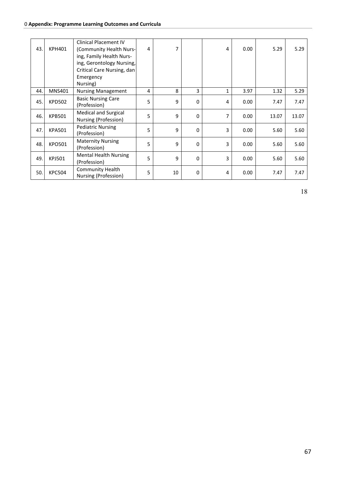| 43. | <b>KPH401</b> | <b>Clinical Placement IV</b><br>(Community Health Nurs-<br>ing, Family Health Nurs-<br>ing, Gerontology Nursing,<br>Critical Care Nursing, dan<br>Emergency<br>Nursing) | 4 | 7  |          | 4            | 0.00 | 5.29  | 5.29  |
|-----|---------------|-------------------------------------------------------------------------------------------------------------------------------------------------------------------------|---|----|----------|--------------|------|-------|-------|
| 44. | <b>MNS401</b> | <b>Nursing Management</b>                                                                                                                                               | 4 | 8  | 3        | $\mathbf{1}$ | 3.97 | 1.32  | 5.29  |
| 45. | <b>KPD502</b> | <b>Basic Nursing Care</b><br>(Profession)                                                                                                                               | 5 | 9  | $\Omega$ | 4            | 0.00 | 7.47  | 7.47  |
| 46. | <b>KPB501</b> | <b>Medical and Surgical</b><br>Nursing (Profession)                                                                                                                     | 5 | 9  | 0        | 7            | 0.00 | 13.07 | 13.07 |
| 47. | <b>KPA501</b> | <b>Pediatric Nursing</b><br>(Profession)                                                                                                                                | 5 | 9  | $\Omega$ | 3            | 0.00 | 5.60  | 5.60  |
| 48. | <b>KPO501</b> | <b>Maternity Nursing</b><br>(Profession)                                                                                                                                | 5 | 9  | 0        | 3            | 0.00 | 5.60  | 5.60  |
| 49. | <b>KPJ501</b> | <b>Mental Health Nursing</b><br>(Profession)                                                                                                                            | 5 | 9  | $\Omega$ | 3            | 0.00 | 5.60  | 5.60  |
| 50. | <b>KPC504</b> | <b>Community Health</b><br>Nursing (Profession)                                                                                                                         | 5 | 10 | 0        | 4            | 0.00 | 7.47  | 7.47  |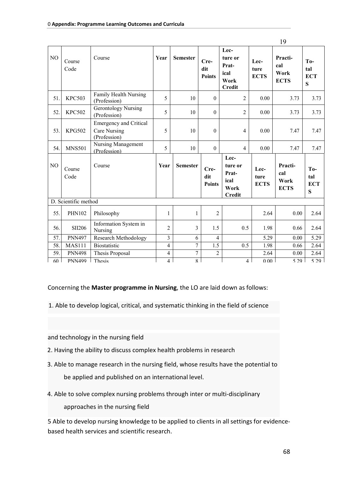|     |                      |                                                               |                         |                 |                              |                                                           |                             | 19                                    |                                 |
|-----|----------------------|---------------------------------------------------------------|-------------------------|-----------------|------------------------------|-----------------------------------------------------------|-----------------------------|---------------------------------------|---------------------------------|
| NO  | Course<br>Code       | Course                                                        | Year                    | <b>Semester</b> | Cre-<br>dit<br><b>Points</b> | Lec-<br>ture or<br>Prat-<br>ical<br>Work<br><b>Credit</b> | Lec-<br>ture<br><b>ECTS</b> | Practi-<br>cal<br>Work<br><b>ECTS</b> | $To-$<br>tal<br><b>ECT</b><br>S |
| 51. | <b>KPC503</b>        | Family Health Nursing<br>(Profession)                         | 5                       | 10              | $\mathbf{0}$                 | $\overline{2}$                                            | 0.00                        | 3.73                                  | 3.73                            |
| 52. | <b>KPC502</b>        | <b>Gerontology Nursing</b><br>(Profession)                    | 5                       | 10              | $\mathbf{0}$                 | $\overline{c}$                                            | 0.00                        | 3.73                                  | 3.73                            |
| 53. | <b>KPG502</b>        | <b>Emergency and Critical</b><br>Care Nursing<br>(Profession) | 5                       | 10              | $\boldsymbol{0}$             | 4                                                         | 0.00                        | 7.47                                  | 7.47                            |
| 54. | <b>MNS501</b>        | Nursing Management<br>(Profession)                            | 5                       | 10              | $\mathbf{0}$                 | $\overline{4}$                                            | 0.00                        | 7.47                                  | 7.47                            |
| NO  | Course<br>Code       | Course                                                        | Year                    | <b>Semester</b> | Cre-<br>dit<br><b>Points</b> | Lec-<br>ture or<br>Prat-<br>ical<br>Work<br><b>Credit</b> | Lec-<br>ture<br><b>ECTS</b> | Practi-<br>cal<br>Work<br><b>ECTS</b> | To-<br>tal<br><b>ECT</b><br>S   |
|     | D. Scientific method |                                                               |                         |                 |                              |                                                           |                             |                                       |                                 |
| 55. | <b>PHN102</b>        | Philosophy                                                    | $\mathbf{1}$            | $\mathbf{1}$    | $\overline{c}$               |                                                           | 2.64                        | 0.00                                  | 2.64                            |
| 56. | <b>SII206</b>        | Information System in<br>Nursing                              | $\overline{2}$          | 3               | 1.5                          | 0.5                                                       | 1.98                        | 0.66                                  | 2.64                            |
| 57. | <b>PNN497</b>        | Research Methodology                                          | $\overline{3}$          | 6               | $\overline{4}$               |                                                           | 5.29                        | 0.00                                  | 5.29                            |
| 58. | <b>MAS111</b>        | Biostatistic                                                  | $\overline{\mathbf{4}}$ | $\overline{7}$  | 1.5                          | 0.5                                                       | 1.98                        | 0.66                                  | 2.64                            |
| 59. | <b>PNN498</b>        | Thesis Proposal                                               | $\overline{\mathbf{4}}$ | $\overline{7}$  | $\overline{2}$               |                                                           | 2.64                        | 0.00                                  | 2.64                            |
| 60  | <b>PNN499</b>        | Thesis                                                        | $\overline{4}$          | $\mathbf{8}$    |                              | $\overline{4}$                                            | 0.00                        | 5 29                                  | 5 2 9                           |

Concerning the **Master programme in Nursing**, the LO are laid down as follows:

1. Able to develop logical, critical, and systematic thinking in the field of science

and technology in the nursing field

- 2. Having the ability to discuss complex health problems in research
- 3. Able to manage research in the nursing field, whose results have the potential to be applied and published on an international level.
- 4. Able to solve complex nursing problems through inter or multi-disciplinary

approaches in the nursing field

5 Able to develop nursing knowledge to be applied to clients in all settings for evidencebased health services and scientific research.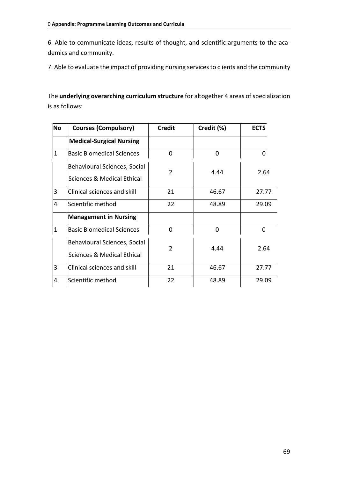6. Able to communicate ideas, results of thought, and scientific arguments to the academics and community.

7. Able to evaluate the impact of providing nursing services to clients and the community

The **underlying overarching curriculum structure** for altogether 4 areas of specialization is as follows:

| <b>No</b>    | <b>Courses (Compulsory)</b>      | <b>Credit</b>  | Credit (%) | <b>ECTS</b> |
|--------------|----------------------------------|----------------|------------|-------------|
|              | <b>Medical-Surgical Nursing</b>  |                |            |             |
| $\mathbf{1}$ | <b>Basic Biomedical Sciences</b> | 0              | 0          | 0           |
|              | Behavioural Sciences, Social     |                |            |             |
|              | Sciences & Medical Ethical       | $\overline{2}$ | 4.44       | 2.64        |
| 3            | Clinical sciences and skill      | 21             | 46.67      | 27.77       |
| 4            | Scientific method                | 22             | 48.89      | 29.09       |
|              | <b>Management in Nursing</b>     |                |            |             |
| $\mathbf{1}$ | <b>Basic Biomedical Sciences</b> | 0              | O          | 0           |
|              | Behavioural Sciences, Social     | $\overline{2}$ |            |             |
|              | Sciences & Medical Ethical       |                | 4.44       | 2.64        |
| 3            | Clinical sciences and skill      | 21             | 46.67      | 27.77       |
| 4            | Scientific method                | 22             | 48.89      | 29.09       |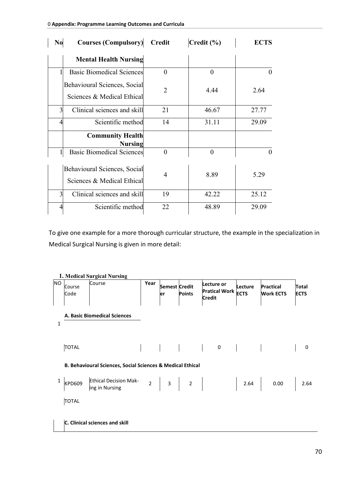| N <sub>0</sub> | <b>Courses (Compulsory)</b>                                | <b>Credit</b>  | $\text{Credit} (\% )$ | <b>ECTS</b>       |
|----------------|------------------------------------------------------------|----------------|-----------------------|-------------------|
|                | <b>Mental Health Nursing</b>                               |                |                       |                   |
|                | <b>Basic Biomedical Sciences</b>                           | $\theta$       | $\theta$              | 0                 |
|                | Behavioural Sciences, Social<br>Sciences & Medical Ethical | 2              | 4.44                  | 2.64              |
| 3              | Clinical sciences and skill                                | 21             | 46.67                 | 27.77             |
| 4              | Scientific method                                          | 14             | 31.11                 | 29.09             |
|                | <b>Community Health</b><br><b>Nursing</b>                  |                |                       |                   |
|                | <b>Basic Biomedical Sciences</b>                           | $\theta$       | $\theta$              | $\mathbf{\Omega}$ |
|                | Behavioural Sciences, Social<br>Sciences & Medical Ethical | $\overline{4}$ | 8.89                  | 5.29              |
| 3              | Clinical sciences and skill                                | 19             | 42.22                 | 25.12             |
| 4              | Scientific method                                          | 22             | 48.89                 | 29.09             |

To give one example for a more thorough curricular structure, the example in the specialization in Medical Surgical Nursing is given in more detail:

**<sup>1.</sup> Medical Surgical Nursing**

| <b>NO</b>    | Course<br>Code                | Course                                                                | Year | er | <b>Semest Credit</b><br><b>Points</b> | Lecture or<br>Pratical Work ECTS<br><b>Credit</b> | Lecture | <b>Practical</b><br><b>Work ECTS</b> | Total<br><b>ECTS</b> |
|--------------|-------------------------------|-----------------------------------------------------------------------|------|----|---------------------------------------|---------------------------------------------------|---------|--------------------------------------|----------------------|
| $\mathbf{1}$ |                               | A. Basic Biomedical Sciences                                          |      |    |                                       |                                                   |         |                                      |                      |
|              | <b>TOTAL</b>                  |                                                                       |      |    |                                       |                                                   |         |                                      | 0                    |
|              |                               | <b>B. Behavioural Sciences, Social Sciences &amp; Medical Ethical</b> |      |    |                                       |                                                   |         |                                      |                      |
|              | <b>KPD609</b><br><b>TOTAL</b> | <b>Ethical Decision Mak-</b><br>ing in Nursing                        |      |    |                                       | $2 \mid 3 \mid 2 \mid$                            |         | 2.64 0.00 2.64                       |                      |

**C. Clinical sciences and skill**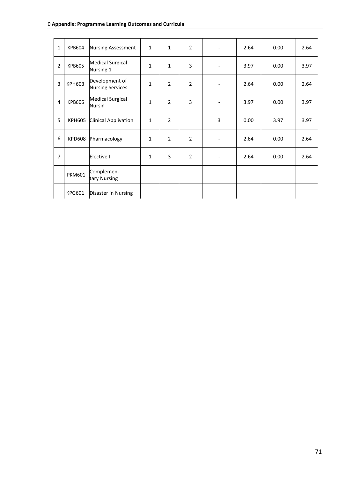| $\mathbf{1}$   | KPB604        | <b>Nursing Assessment</b>                 | $\mathbf 1$  | $\mathbf{1}$   | $\overline{2}$ |                              | 2.64 | 0.00 | 2.64 |
|----------------|---------------|-------------------------------------------|--------------|----------------|----------------|------------------------------|------|------|------|
| $\overline{2}$ | <b>KPB605</b> | <b>Medical Surgical</b><br>Nursing 1      | $\mathbf{1}$ | $\mathbf{1}$   | 3              | -                            | 3.97 | 0.00 | 3.97 |
| 3              | <b>KPH603</b> | Development of<br><b>Nursing Services</b> | $\mathbf{1}$ | $\overline{2}$ | $\overline{2}$ | $\qquad \qquad \blacksquare$ | 2.64 | 0.00 | 2.64 |
| 4              | <b>KPB606</b> | <b>Medical Surgical</b><br>Nursin         | $\mathbf{1}$ | $\overline{2}$ | 3              | -                            | 3.97 | 0.00 | 3.97 |
| 5              | <b>KPH605</b> | Clinical Applivation                      | $\mathbf{1}$ | $\overline{2}$ |                | 3                            | 0.00 | 3.97 | 3.97 |
| 6              | <b>KPD608</b> | Pharmacology                              | 1            | $\overline{2}$ | $\overline{2}$ | $\overline{\phantom{a}}$     | 2.64 | 0.00 | 2.64 |
| $\overline{7}$ |               | Elective I                                | $\mathbf{1}$ | 3              | $\overline{2}$ | $\overline{\phantom{a}}$     | 2.64 | 0.00 | 2.64 |
|                | <b>PKM601</b> | Complemen-<br>tary Nursing                |              |                |                |                              |      |      |      |
|                | KPG601        | Disaster in Nursing                       |              |                |                |                              |      |      |      |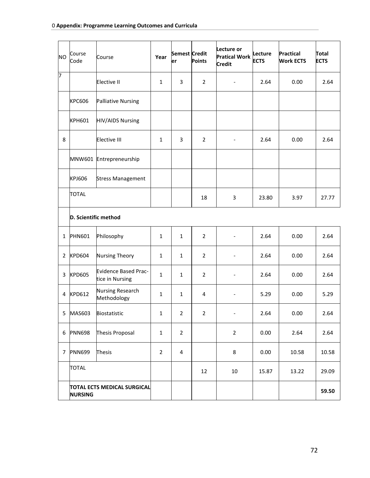| <b>NO</b> | Course<br>Code                                | Course                                  | Year           | <b>Semest Credit</b><br>er | <b>Points</b>  | Lecture or<br><b>Pratical Work</b><br><b>Credit</b> | Lecture<br><b>ECTS</b> | <b>Practical</b><br><b>Work ECTS</b> | Total<br><b>ECTS</b> |
|-----------|-----------------------------------------------|-----------------------------------------|----------------|----------------------------|----------------|-----------------------------------------------------|------------------------|--------------------------------------|----------------------|
| 7         |                                               | Elective II                             | $\mathbf{1}$   | 3                          | $\overline{2}$ | $\overline{\phantom{a}}$                            | 2.64                   | 0.00                                 | 2.64                 |
|           | <b>KPC606</b>                                 | <b>Palliative Nursing</b>               |                |                            |                |                                                     |                        |                                      |                      |
|           | <b>KPH601</b>                                 | <b>HIV/AIDS Nursing</b>                 |                |                            |                |                                                     |                        |                                      |                      |
| 8         |                                               | <b>Elective III</b>                     | $\mathbf{1}$   | 3                          | $\overline{2}$ | $\overline{\phantom{a}}$                            | 2.64                   | 0.00                                 | 2.64                 |
|           |                                               | MNW601 Entrepreneurship                 |                |                            |                |                                                     |                        |                                      |                      |
|           | KPJ606                                        | <b>Stress Management</b>                |                |                            |                |                                                     |                        |                                      |                      |
|           | <b>TOTAL</b>                                  |                                         |                |                            | 18             | 3                                                   | 23.80                  | 3.97                                 | 27.77                |
|           | D. Scientific method                          |                                         |                |                            |                |                                                     |                        |                                      |                      |
| 1         | <b>PHN601</b>                                 | Philosophy                              | $\mathbf{1}$   | $\mathbf{1}$               | 2              | $\overline{\phantom{a}}$                            | 2.64                   | 0.00                                 | 2.64                 |
| 2         | <b>KPD604</b>                                 | <b>Nursing Theory</b>                   | $\mathbf{1}$   | 1                          | $\overline{2}$ | $\qquad \qquad \blacksquare$                        | 2.64                   | 0.00                                 | 2.64                 |
| 3         | <b>KPD605</b>                                 | Evidence Based Prac-<br>tice in Nursing | $\mathbf{1}$   | $\mathbf{1}$               | 2              |                                                     | 2.64                   | 0.00                                 | 2.64                 |
| 4         | <b>KPD612</b>                                 | Nursing Research<br>Methodology         | $\mathbf{1}$   | $\mathbf{1}$               | 4              | $\overline{\phantom{a}}$                            | 5.29                   | 0.00                                 | 5.29                 |
| 5         | MAS603                                        | Biostatistic                            | $\mathbf 1$    | $\overline{2}$             | $\overline{2}$ | $\overline{\phantom{a}}$                            | 2.64                   | 0.00                                 | 2.64                 |
| 6         | <b>PNN698</b>                                 | Thesis Proposal                         | $\mathbf{1}$   | $\overline{2}$             |                | $\overline{2}$                                      | 0.00                   | 2.64                                 | 2.64                 |
| 7         | <b>PNN699</b>                                 | Thesis                                  | $\overline{2}$ | 4                          |                | 8                                                   | 0.00                   | 10.58                                | 10.58                |
|           | <b>TOTAL</b>                                  |                                         |                |                            | 12             | 10                                                  | 15.87                  | 13.22                                | 29.09                |
|           | TOTAL ECTS MEDICAL SURGICAL<br><b>NURSING</b> |                                         |                |                            |                |                                                     |                        |                                      | 59.50                |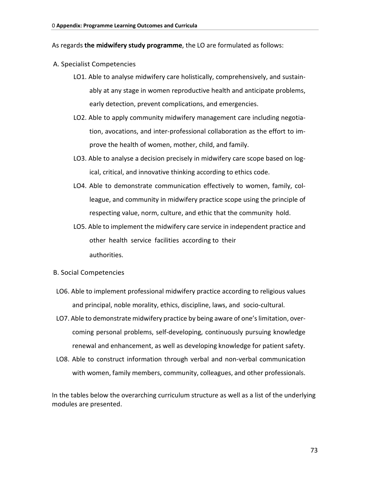As regards **the midwifery study programme**, the LO are formulated as follows:

- A. Specialist Competencies
	- LO1. Able to analyse midwifery care holistically, comprehensively, and sustainably at any stage in women reproductive health and anticipate problems, early detection, prevent complications, and emergencies.
	- LO2. Able to apply community midwifery management care including negotiation, avocations, and inter-professional collaboration as the effort to improve the health of women, mother, child, and family.
	- LO3. Able to analyse a decision precisely in midwifery care scope based on logical, critical, and innovative thinking according to ethics code.
	- LO4. Able to demonstrate communication effectively to women, family, colleague, and community in midwifery practice scope using the principle of respecting value, norm, culture, and ethic that the community hold.
	- LO5. Able to implement the midwifery care service in independent practice and other health service facilities according to their authorities.
- B. Social Competencies
- LO6. Able to implement professional midwifery practice according to religious values and principal, noble morality, ethics, discipline, laws, and socio-cultural.
- LO7. Able to demonstrate midwifery practice by being aware of one's limitation, overcoming personal problems, self-developing, continuously pursuing knowledge renewal and enhancement, as well as developing knowledge for patient safety.
- LO8. Able to construct information through verbal and non-verbal communication with women, family members, community, colleagues, and other professionals.

In the tables below the overarching curriculum structure as well as a list of the underlying modules are presented.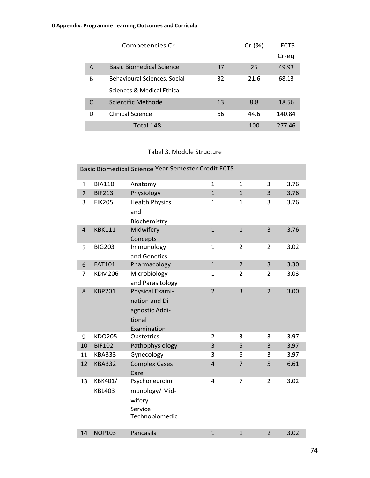|   | Competencies Cr                 |    | Cr(%) | <b>ECTS</b> |
|---|---------------------------------|----|-------|-------------|
|   |                                 |    |       | Cr-eq       |
| A | <b>Basic Biomedical Science</b> | 37 | 25    | 49.93       |
| B | Behavioural Sciences, Social    | 32 | 21.6  | 68.13       |
|   | Sciences & Medical Ethical      |    |       |             |
|   | Scientific Methode              | 13 | 8.8   | 18.56       |
| D | <b>Clinical Science</b>         | 66 | 44.6  | 140.84      |
|   | Total 148                       |    | 100   | 277.46      |

## Tabel 3. Module Structure

|                |               | Basic Biomedical Science Year Semester Credit ECTS |                         |                |                |      |
|----------------|---------------|----------------------------------------------------|-------------------------|----------------|----------------|------|
| $\mathbf{1}$   | <b>BIA110</b> | Anatomy                                            | 1                       | $\mathbf{1}$   | 3              | 3.76 |
| $\overline{2}$ | <b>BIF213</b> | Physiology                                         | $\mathbf{1}$            | $\mathbf{1}$   | 3              | 3.76 |
| 3              | <b>FIK205</b> | <b>Health Physics</b>                              | $\mathbf{1}$            | $\mathbf{1}$   | 3              | 3.76 |
|                |               | and                                                |                         |                |                |      |
|                |               | Biochemistry                                       |                         |                |                |      |
| $\overline{4}$ | <b>KBK111</b> | Midwifery                                          | $\mathbf{1}$            | $\mathbf{1}$   | 3              | 3.76 |
|                |               | Concepts                                           |                         |                |                |      |
| 5              | <b>BIG203</b> | Immunology                                         | $\mathbf{1}$            | $\overline{2}$ | $\overline{2}$ | 3.02 |
|                |               | and Genetics                                       |                         |                |                |      |
| 6              | <b>FAT101</b> | Pharmacology                                       | $\mathbf{1}$            | $\overline{2}$ | $\overline{3}$ | 3.30 |
| $\overline{7}$ | <b>KDM206</b> | Microbiology                                       | $\mathbf{1}$            | $\overline{2}$ | $\overline{2}$ | 3.03 |
|                |               | and Parasitology                                   |                         |                |                |      |
| 8              | <b>KBP201</b> | Physical Exami-                                    | $\overline{2}$          | 3              | $\overline{2}$ | 3.00 |
|                |               | nation and Di-                                     |                         |                |                |      |
|                |               | agnostic Addi-                                     |                         |                |                |      |
|                |               | tional                                             |                         |                |                |      |
|                |               | Examination                                        |                         |                |                |      |
| 9              | KDO205        | Obstetrics                                         | $\overline{2}$          | 3              | 3              | 3.97 |
| 10             | <b>BIF102</b> | Pathophysiology                                    | 3                       | 5              | 3              | 3.97 |
| 11             | <b>KBA333</b> | Gynecology                                         | 3                       | 6              | 3              | 3.97 |
| 12             | <b>KBA332</b> | <b>Complex Cases</b>                               | $\overline{\mathbf{4}}$ | $\overline{7}$ | 5              | 6.61 |
|                |               | Care                                               |                         |                |                |      |
| 13             | KBK401/       | Psychoneuroim                                      | 4                       | $\overline{7}$ | $\overline{2}$ | 3.02 |
|                | <b>KBL403</b> | munology/Mid-                                      |                         |                |                |      |
|                |               | wifery                                             |                         |                |                |      |
|                |               | Service                                            |                         |                |                |      |
|                |               | Technobiomedic                                     |                         |                |                |      |
|                |               |                                                    |                         |                |                |      |
| 14             | <b>NOP103</b> | Pancasila                                          | $\mathbf{1}$            | $\mathbf{1}$   | $\overline{2}$ | 3.02 |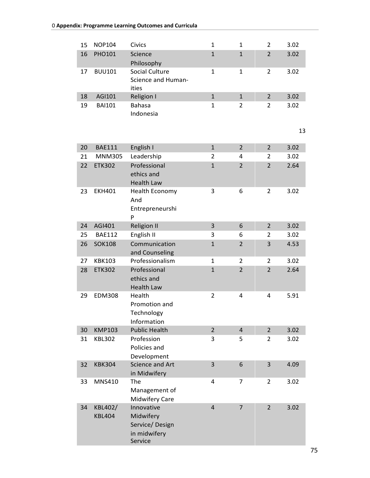| 15       | <b>NOP104</b> | Civics                              | $\mathbf{1}$   | $\mathbf{1}$   | $\overline{2}$ | 3.02 |
|----------|---------------|-------------------------------------|----------------|----------------|----------------|------|
| 16       | PHO101        | Science                             | $\mathbf{1}$   | $\mathbf{1}$   | $\overline{2}$ | 3.02 |
|          |               | Philosophy                          |                |                |                |      |
| 17       | <b>BUU101</b> | <b>Social Culture</b>               | $\mathbf{1}$   | $\mathbf{1}$   | $\overline{2}$ | 3.02 |
|          |               | Science and Human-<br>ities         |                |                |                |      |
| 18       | AGI101        | Religion I                          | $\mathbf{1}$   | $\mathbf{1}$   | $\overline{2}$ | 3.02 |
| 19       | <b>BAI101</b> | <b>Bahasa</b>                       | $\mathbf{1}$   | $\overline{2}$ | 2              | 3.02 |
|          |               | Indonesia                           |                |                |                |      |
|          |               |                                     |                |                |                |      |
|          |               |                                     |                |                |                | 13   |
|          | <b>BAE111</b> |                                     | $\mathbf{1}$   | $\overline{2}$ | $\overline{2}$ | 3.02 |
| 20<br>21 | <b>MNM305</b> | English I                           | 2              | 4              | $\overline{2}$ | 3.02 |
| 22       | <b>ETK302</b> | Leadership<br>Professional          | $\mathbf{1}$   | $\overline{2}$ | $\overline{2}$ | 2.64 |
|          |               | ethics and                          |                |                |                |      |
|          |               | <b>Health Law</b>                   |                |                |                |      |
| 23       | <b>EKH401</b> | <b>Health Economy</b>               | 3              | 6              | $\overline{2}$ | 3.02 |
|          |               | And                                 |                |                |                |      |
|          |               | Entrepreneurshi                     |                |                |                |      |
|          |               | P                                   |                |                |                |      |
| 24       | AGI401        | <b>Religion II</b>                  | 3              | 6              | $\overline{2}$ | 3.02 |
| 25       | <b>BAE112</b> | English II                          | 3              | 6              | $\overline{2}$ | 3.02 |
| 26       | <b>SOK108</b> | Communication                       | $\mathbf{1}$   | $\overline{2}$ | 3              | 4.53 |
|          |               | and Counseling                      |                |                |                |      |
| 27       | <b>KBK103</b> | Professionalism                     | $\mathbf 1$    | 2              | 2              | 3.02 |
| 28       | <b>ETK302</b> | Professional                        | $\mathbf{1}$   | $\overline{2}$ | $\overline{2}$ | 2.64 |
|          |               | ethics and                          |                |                |                |      |
| 29       | <b>EDM308</b> | <b>Health Law</b><br>Health         | $\overline{2}$ | 4              | 4              | 5.91 |
|          |               | Promotion and                       |                |                |                |      |
|          |               | Technology                          |                |                |                |      |
|          |               | Information                         |                |                |                |      |
| 30       | <b>KMP103</b> | <b>Public Health</b>                | $\overline{2}$ | $\overline{4}$ | $\overline{2}$ | 3.02 |
| 31       | <b>KBL302</b> | Profession                          | 3              | 5              | 2              | 3.02 |
|          |               | Policies and                        |                |                |                |      |
|          |               | Development                         |                |                |                |      |
| 32       | <b>KBK304</b> | <b>Science and Art</b>              | 3              | 6              | 3              | 4.09 |
|          |               | in Midwifery                        |                |                |                |      |
| 33       | MNS410        | The                                 | 4              | 7              | $\overline{2}$ | 3.02 |
|          |               | Management of                       |                |                |                |      |
| 34       | KBL402/       | <b>Midwifery Care</b><br>Innovative | $\overline{4}$ | $\overline{7}$ | $\overline{2}$ | 3.02 |
|          | <b>KBL404</b> | Midwifery                           |                |                |                |      |
|          |               | Service/Design                      |                |                |                |      |
|          |               | in midwifery                        |                |                |                |      |
|          |               | Service                             |                |                |                |      |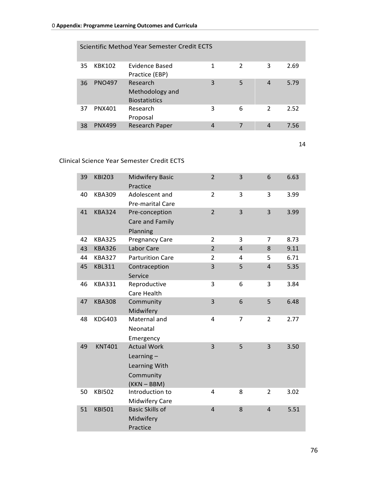| Scientific Method Year Semester Credit ECTS |               |                                                     |   |               |                |      |
|---------------------------------------------|---------------|-----------------------------------------------------|---|---------------|----------------|------|
| 35                                          | <b>KBK102</b> | Evidence Based<br>Practice (EBP)                    |   | $\mathcal{P}$ | 3              | 2.69 |
| 36                                          | <b>PNO497</b> | Research<br>Methodology and<br><b>Biostatistics</b> | 3 | 5             | $\overline{4}$ | 5.79 |
| 37                                          | <b>PNX401</b> | Research<br>Proposal                                | 3 | 6             | $\mathcal{P}$  | 2.52 |
| 38                                          | <b>PNX499</b> | <b>Research Paper</b>                               | 4 | 7             | 4              | 7.56 |

14

## Clinical Science Year Semester Credit ECTS

| 39 | <b>KBI203</b> | <b>Midwifery Basic</b><br>Practice                                                | $\overline{2}$ | $\overline{3}$ | 6              | 6.63 |
|----|---------------|-----------------------------------------------------------------------------------|----------------|----------------|----------------|------|
| 40 | <b>KBA309</b> | Adolescent and<br>Pre-marital Care                                                | $\overline{2}$ | 3              | 3              | 3.99 |
| 41 | <b>KBA324</b> | Pre-conception<br>Care and Family<br>Planning                                     | $\overline{2}$ | $\overline{3}$ | 3              | 3.99 |
| 42 | <b>KBA325</b> | <b>Pregnancy Care</b>                                                             | 2              | 3              | 7              | 8.73 |
| 43 | <b>KBA326</b> | Labor Care                                                                        | $\overline{2}$ | $\overline{4}$ | 8              | 9.11 |
| 44 | <b>KBA327</b> | <b>Parturition Care</b>                                                           | $\overline{2}$ | 4              | 5              | 6.71 |
| 45 | <b>KBL311</b> | Contraception<br>Service                                                          | 3              | 5              | $\overline{4}$ | 5.35 |
| 46 | <b>KBA331</b> | Reproductive<br>Care Health                                                       | 3              | 6              | 3              | 3.84 |
| 47 | <b>KBA308</b> | Community<br>Midwifery                                                            | 3              | 6              | 5              | 6.48 |
| 48 | <b>KDG403</b> | Maternal and<br>Neonatal<br>Emergency                                             | 4              | 7              | $\overline{2}$ | 2.77 |
| 49 | <b>KNT401</b> | <b>Actual Work</b><br>Learning $-$<br>Learning With<br>Community<br>$(KKN - BBM)$ | $\overline{3}$ | 5              | 3              | 3.50 |
| 50 | <b>KBI502</b> | Introduction to<br><b>Midwifery Care</b>                                          | 4              | 8              | 2              | 3.02 |
| 51 | <b>KBI501</b> | <b>Basic Skills of</b><br>Midwifery<br>Practice                                   | $\overline{4}$ | 8              | $\overline{4}$ | 5.51 |

76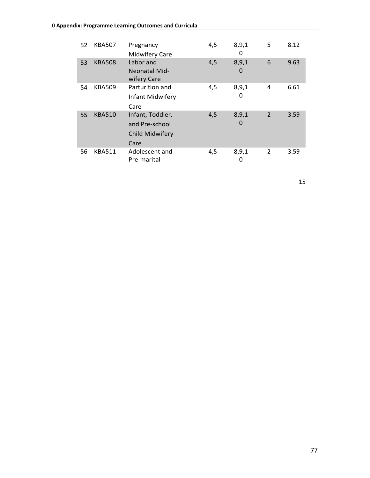| 52 | <b>KBA507</b> | Pregnancy<br><b>Midwifery Care</b>                            | 4,5 | 8,9,1<br>0 | 5              | 8.12 |
|----|---------------|---------------------------------------------------------------|-----|------------|----------------|------|
| 53 | <b>KBA508</b> | Labor and<br><b>Neonatal Mid-</b><br>wifery Care              | 4,5 | 8,9,1<br>0 | 6              | 9.63 |
| 54 | <b>KBA509</b> | Parturition and<br>Infant Midwifery<br>Care                   | 4,5 | 8,9,1<br>0 | 4              | 6.61 |
| 55 | <b>KBA510</b> | Infant, Toddler,<br>and Pre-school<br>Child Midwifery<br>Care | 4,5 | 8,9,1<br>0 | $\overline{2}$ | 3.59 |
| 56 | <b>KBA511</b> | Adolescent and<br>Pre-marital                                 | 4,5 | 8,9,1<br>0 | 2              | 3.59 |